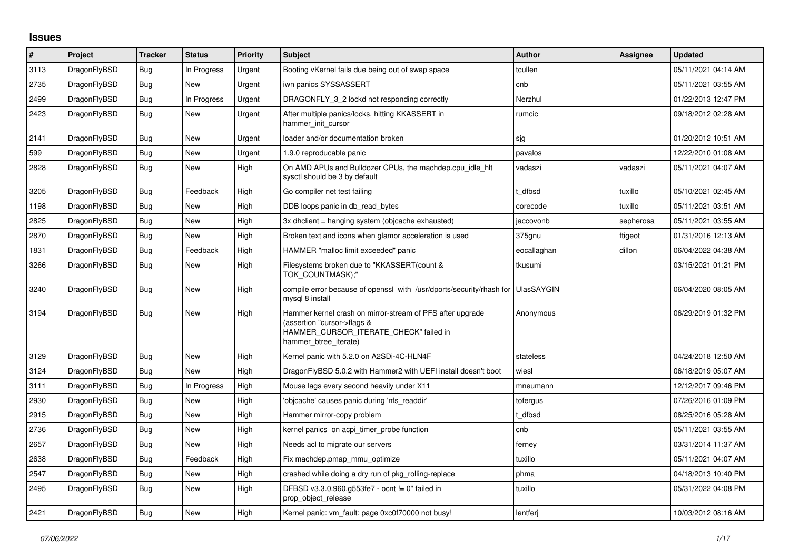## **Issues**

| $\sharp$ | Project      | <b>Tracker</b> | <b>Status</b> | <b>Priority</b> | <b>Subject</b>                                                                                                                                              | <b>Author</b>     | Assignee  | <b>Updated</b>      |
|----------|--------------|----------------|---------------|-----------------|-------------------------------------------------------------------------------------------------------------------------------------------------------------|-------------------|-----------|---------------------|
| 3113     | DragonFlyBSD | Bug            | In Progress   | Urgent          | Booting vKernel fails due being out of swap space                                                                                                           | tcullen           |           | 05/11/2021 04:14 AM |
| 2735     | DragonFlyBSD | <b>Bug</b>     | <b>New</b>    | Urgent          | iwn panics SYSSASSERT                                                                                                                                       | cnb               |           | 05/11/2021 03:55 AM |
| 2499     | DragonFlyBSD | <b>Bug</b>     | In Progress   | Urgent          | DRAGONFLY 3 2 lockd not responding correctly                                                                                                                | Nerzhul           |           | 01/22/2013 12:47 PM |
| 2423     | DragonFlyBSD | <b>Bug</b>     | New           | Urgent          | After multiple panics/locks, hitting KKASSERT in<br>hammer_init_cursor                                                                                      | rumcic            |           | 09/18/2012 02:28 AM |
| 2141     | DragonFlyBSD | <b>Bug</b>     | New           | Urgent          | loader and/or documentation broken                                                                                                                          | sjg               |           | 01/20/2012 10:51 AM |
| 599      | DragonFlyBSD | Bug            | New           | Urgent          | 1.9.0 reproducable panic                                                                                                                                    | pavalos           |           | 12/22/2010 01:08 AM |
| 2828     | DragonFlyBSD | Bug            | New           | High            | On AMD APUs and Bulldozer CPUs, the machdep.cpu idle hit<br>sysctl should be 3 by default                                                                   | vadaszi           | vadaszi   | 05/11/2021 04:07 AM |
| 3205     | DragonFlyBSD | <b>Bug</b>     | Feedback      | High            | Go compiler net test failing                                                                                                                                | dfbsd             | tuxillo   | 05/10/2021 02:45 AM |
| 1198     | DragonFlyBSD | Bug            | New           | High            | DDB loops panic in db read bytes                                                                                                                            | corecode          | tuxillo   | 05/11/2021 03:51 AM |
| 2825     | DragonFlyBSD | <b>Bug</b>     | <b>New</b>    | High            | 3x dhclient = hanging system (objcache exhausted)                                                                                                           | jaccovonb         | sepherosa | 05/11/2021 03:55 AM |
| 2870     | DragonFlyBSD | Bug            | New           | High            | Broken text and icons when glamor acceleration is used                                                                                                      | 375gnu            | ftigeot   | 01/31/2016 12:13 AM |
| 1831     | DragonFlyBSD | <b>Bug</b>     | Feedback      | High            | HAMMER "malloc limit exceeded" panic                                                                                                                        | eocallaghan       | dillon    | 06/04/2022 04:38 AM |
| 3266     | DragonFlyBSD | Bug            | <b>New</b>    | High            | Filesystems broken due to "KKASSERT(count &<br>TOK COUNTMASK);"                                                                                             | tkusumi           |           | 03/15/2021 01:21 PM |
| 3240     | DragonFlyBSD | Bug            | New           | High            | compile error because of openssl with /usr/dports/security/rhash for<br>mysql 8 install                                                                     | <b>UlasSAYGIN</b> |           | 06/04/2020 08:05 AM |
| 3194     | DragonFlyBSD | Bug            | New           | High            | Hammer kernel crash on mirror-stream of PFS after upgrade<br>(assertion "cursor->flags &<br>HAMMER_CURSOR_ITERATE_CHECK" failed in<br>hammer btree iterate) | Anonymous         |           | 06/29/2019 01:32 PM |
| 3129     | DragonFlyBSD | <b>Bug</b>     | <b>New</b>    | High            | Kernel panic with 5.2.0 on A2SDi-4C-HLN4F                                                                                                                   | stateless         |           | 04/24/2018 12:50 AM |
| 3124     | DragonFlyBSD | Bug            | New           | High            | DragonFlyBSD 5.0.2 with Hammer2 with UEFI install doesn't boot                                                                                              | wiesl             |           | 06/18/2019 05:07 AM |
| 3111     | DragonFlyBSD | Bug            | In Progress   | High            | Mouse lags every second heavily under X11                                                                                                                   | mneumann          |           | 12/12/2017 09:46 PM |
| 2930     | DragonFlyBSD | Bug            | New           | High            | 'objcache' causes panic during 'nfs_readdir'                                                                                                                | tofergus          |           | 07/26/2016 01:09 PM |
| 2915     | DragonFlyBSD | <b>Bug</b>     | New           | High            | Hammer mirror-copy problem                                                                                                                                  | t dfbsd           |           | 08/25/2016 05:28 AM |
| 2736     | DragonFlyBSD | Bug            | New           | High            | kernel panics on acpi timer probe function                                                                                                                  | cnb               |           | 05/11/2021 03:55 AM |
| 2657     | DragonFlyBSD | Bug            | <b>New</b>    | High            | Needs acl to migrate our servers                                                                                                                            | ferney            |           | 03/31/2014 11:37 AM |
| 2638     | DragonFlyBSD | Bug            | Feedback      | High            | Fix machdep.pmap_mmu_optimize                                                                                                                               | tuxillo           |           | 05/11/2021 04:07 AM |
| 2547     | DragonFlyBSD | Bug            | New           | High            | crashed while doing a dry run of pkg rolling-replace                                                                                                        | phma              |           | 04/18/2013 10:40 PM |
| 2495     | DragonFlyBSD | Bug            | <b>New</b>    | High            | DFBSD v3.3.0.960.g553fe7 - ocnt != 0" failed in<br>prop_object_release                                                                                      | tuxillo           |           | 05/31/2022 04:08 PM |
| 2421     | DragonFlyBSD | Bug            | New           | High            | Kernel panic: vm_fault: page 0xc0f70000 not busy!                                                                                                           | lentferj          |           | 10/03/2012 08:16 AM |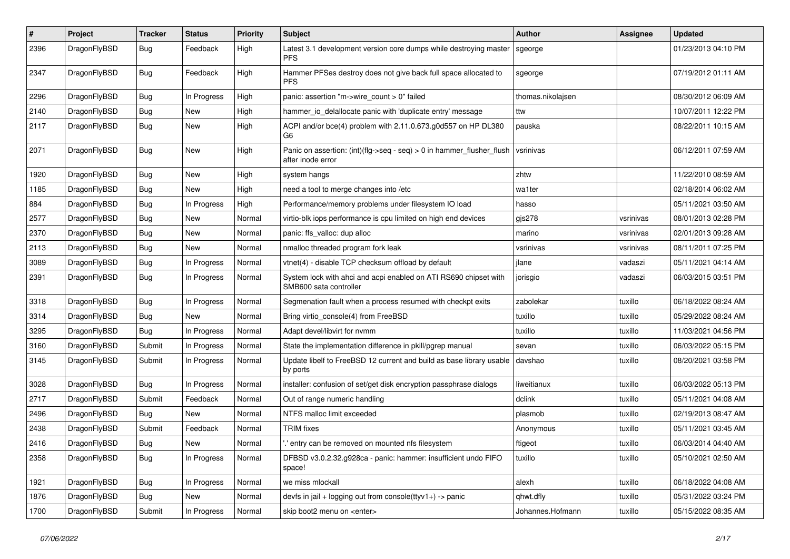| $\#$ | Project      | <b>Tracker</b> | <b>Status</b> | <b>Priority</b> | Subject                                                                                    | <b>Author</b>     | <b>Assignee</b> | <b>Updated</b>      |
|------|--------------|----------------|---------------|-----------------|--------------------------------------------------------------------------------------------|-------------------|-----------------|---------------------|
| 2396 | DragonFlyBSD | Bug            | Feedback      | High            | Latest 3.1 development version core dumps while destroying master<br><b>PFS</b>            | sgeorge           |                 | 01/23/2013 04:10 PM |
| 2347 | DragonFlyBSD | Bug            | Feedback      | High            | Hammer PFSes destroy does not give back full space allocated to<br><b>PFS</b>              | sgeorge           |                 | 07/19/2012 01:11 AM |
| 2296 | DragonFlyBSD | Bug            | In Progress   | High            | panic: assertion "m->wire_count > 0" failed                                                | thomas.nikolajsen |                 | 08/30/2012 06:09 AM |
| 2140 | DragonFlyBSD | Bug            | New           | High            | hammer_io_delallocate panic with 'duplicate entry' message                                 | ttw               |                 | 10/07/2011 12:22 PM |
| 2117 | DragonFlyBSD | Bug            | New           | High            | ACPI and/or bce(4) problem with 2.11.0.673.g0d557 on HP DL380<br>G6                        | pauska            |                 | 08/22/2011 10:15 AM |
| 2071 | DragonFlyBSD | Bug            | New           | High            | Panic on assertion: (int)(flg->seq - seq) > 0 in hammer_flusher_flush<br>after inode error | vsrinivas         |                 | 06/12/2011 07:59 AM |
| 1920 | DragonFlyBSD | Bug            | New           | High            | system hangs                                                                               | zhtw              |                 | 11/22/2010 08:59 AM |
| 1185 | DragonFlyBSD | <b>Bug</b>     | New           | High            | need a tool to merge changes into /etc                                                     | wa1ter            |                 | 02/18/2014 06:02 AM |
| 884  | DragonFlyBSD | Bug            | In Progress   | High            | Performance/memory problems under filesystem IO load                                       | hasso             |                 | 05/11/2021 03:50 AM |
| 2577 | DragonFlyBSD | Bug            | New           | Normal          | virtio-blk iops performance is cpu limited on high end devices                             | gjs278            | vsrinivas       | 08/01/2013 02:28 PM |
| 2370 | DragonFlyBSD | Bug            | New           | Normal          | panic: ffs_valloc: dup alloc                                                               | marino            | vsrinivas       | 02/01/2013 09:28 AM |
| 2113 | DragonFlyBSD | Bug            | New           | Normal          | nmalloc threaded program fork leak                                                         | vsrinivas         | vsrinivas       | 08/11/2011 07:25 PM |
| 3089 | DragonFlyBSD | Bug            | In Progress   | Normal          | vtnet(4) - disable TCP checksum offload by default                                         | jlane             | vadaszi         | 05/11/2021 04:14 AM |
| 2391 | DragonFlyBSD | <b>Bug</b>     | In Progress   | Normal          | System lock with ahci and acpi enabled on ATI RS690 chipset with<br>SMB600 sata controller | jorisgio          | vadaszi         | 06/03/2015 03:51 PM |
| 3318 | DragonFlyBSD | Bug            | In Progress   | Normal          | Segmenation fault when a process resumed with checkpt exits                                | zabolekar         | tuxillo         | 06/18/2022 08:24 AM |
| 3314 | DragonFlyBSD | Bug            | New           | Normal          | Bring virtio_console(4) from FreeBSD                                                       | tuxillo           | tuxillo         | 05/29/2022 08:24 AM |
| 3295 | DragonFlyBSD | Bug            | In Progress   | Normal          | Adapt devel/libvirt for nvmm                                                               | tuxillo           | tuxillo         | 11/03/2021 04:56 PM |
| 3160 | DragonFlyBSD | Submit         | In Progress   | Normal          | State the implementation difference in pkill/pgrep manual                                  | sevan             | tuxillo         | 06/03/2022 05:15 PM |
| 3145 | DragonFlyBSD | Submit         | In Progress   | Normal          | Update libelf to FreeBSD 12 current and build as base library usable<br>by ports           | davshao           | tuxillo         | 08/20/2021 03:58 PM |
| 3028 | DragonFlyBSD | Bug            | In Progress   | Normal          | installer: confusion of set/get disk encryption passphrase dialogs                         | liweitianux       | tuxillo         | 06/03/2022 05:13 PM |
| 2717 | DragonFlyBSD | Submit         | Feedback      | Normal          | Out of range numeric handling                                                              | dclink            | tuxillo         | 05/11/2021 04:08 AM |
| 2496 | DragonFlyBSD | Bug            | New           | Normal          | NTFS malloc limit exceeded                                                                 | plasmob           | tuxillo         | 02/19/2013 08:47 AM |
| 2438 | DragonFlyBSD | Submit         | Feedback      | Normal          | <b>TRIM</b> fixes                                                                          | Anonymous         | tuxillo         | 05/11/2021 03:45 AM |
| 2416 | DragonFlyBSD | Bug            | <b>New</b>    | Normal          | entry can be removed on mounted nfs filesystem.                                            | ftigeot           | tuxillo         | 06/03/2014 04:40 AM |
| 2358 | DragonFlyBSD | Bug            | In Progress   | Normal          | DFBSD v3.0.2.32.g928ca - panic: hammer: insufficient undo FIFO<br>space!                   | tuxillo           | tuxillo         | 05/10/2021 02:50 AM |
| 1921 | DragonFlyBSD | <b>Bug</b>     | In Progress   | Normal          | we miss mlockall                                                                           | alexh             | tuxillo         | 06/18/2022 04:08 AM |
| 1876 | DragonFlyBSD | <b>Bug</b>     | New           | Normal          | devfs in jail + logging out from console(ttyv1+) -> panic                                  | qhwt.dfly         | tuxillo         | 05/31/2022 03:24 PM |
| 1700 | DragonFlyBSD | Submit         | In Progress   | Normal          | skip boot2 menu on <enter></enter>                                                         | Johannes.Hofmann  | tuxillo         | 05/15/2022 08:35 AM |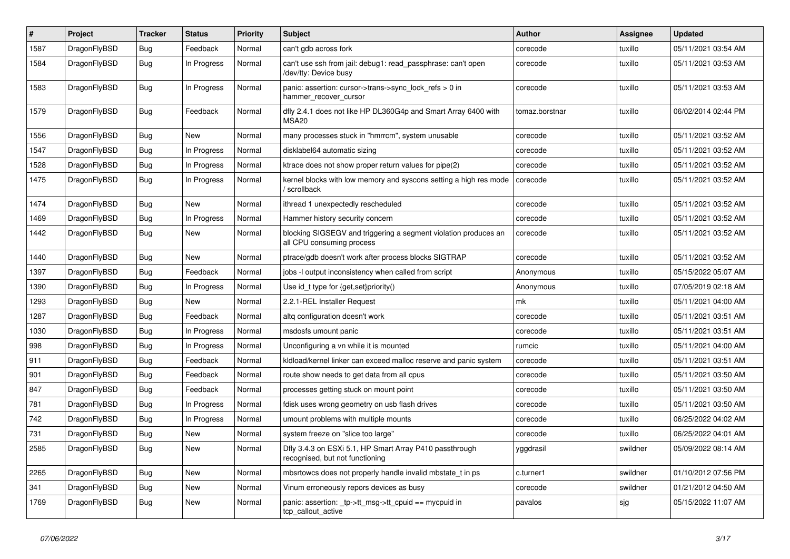| #    | Project      | <b>Tracker</b> | <b>Status</b> | <b>Priority</b> | Subject                                                                                      | <b>Author</b>  | Assignee | <b>Updated</b>      |
|------|--------------|----------------|---------------|-----------------|----------------------------------------------------------------------------------------------|----------------|----------|---------------------|
| 1587 | DragonFlyBSD | Bug            | Feedback      | Normal          | can't gdb across fork                                                                        | corecode       | tuxillo  | 05/11/2021 03:54 AM |
| 1584 | DragonFlyBSD | <b>Bug</b>     | In Progress   | Normal          | can't use ssh from jail: debug1: read passphrase: can't open<br>/dev/tty: Device busy        | corecode       | tuxillo  | 05/11/2021 03:53 AM |
| 1583 | DragonFlyBSD | Bug            | In Progress   | Normal          | panic: assertion: cursor->trans->sync_lock_refs > 0 in<br>hammer_recover_cursor              | corecode       | tuxillo  | 05/11/2021 03:53 AM |
| 1579 | DragonFlyBSD | <b>Bug</b>     | Feedback      | Normal          | dfly 2.4.1 does not like HP DL360G4p and Smart Array 6400 with<br>MSA <sub>20</sub>          | tomaz.borstnar | tuxillo  | 06/02/2014 02:44 PM |
| 1556 | DragonFlyBSD | Bug            | New           | Normal          | many processes stuck in "hmrrcm", system unusable                                            | corecode       | tuxillo  | 05/11/2021 03:52 AM |
| 1547 | DragonFlyBSD | Bug            | In Progress   | Normal          | disklabel64 automatic sizing                                                                 | corecode       | tuxillo  | 05/11/2021 03:52 AM |
| 1528 | DragonFlyBSD | Bug            | In Progress   | Normal          | ktrace does not show proper return values for pipe(2)                                        | corecode       | tuxillo  | 05/11/2021 03:52 AM |
| 1475 | DragonFlyBSD | <b>Bug</b>     | In Progress   | Normal          | kernel blocks with low memory and syscons setting a high res mode<br>/ scrollback            | corecode       | tuxillo  | 05/11/2021 03:52 AM |
| 1474 | DragonFlyBSD | Bug            | <b>New</b>    | Normal          | ithread 1 unexpectedly rescheduled                                                           | corecode       | tuxillo  | 05/11/2021 03:52 AM |
| 1469 | DragonFlyBSD | Bug            | In Progress   | Normal          | Hammer history security concern                                                              | corecode       | tuxillo  | 05/11/2021 03:52 AM |
| 1442 | DragonFlyBSD | Bug            | New           | Normal          | blocking SIGSEGV and triggering a segment violation produces an<br>all CPU consuming process | corecode       | tuxillo  | 05/11/2021 03:52 AM |
| 1440 | DragonFlyBSD | Bug            | New           | Normal          | ptrace/gdb doesn't work after process blocks SIGTRAP                                         | corecode       | tuxillo  | 05/11/2021 03:52 AM |
| 1397 | DragonFlyBSD | Bug            | Feedback      | Normal          | jobs -I output inconsistency when called from script                                         | Anonymous      | tuxillo  | 05/15/2022 05:07 AM |
| 1390 | DragonFlyBSD | Bug            | In Progress   | Normal          | Use id_t type for {get,set}priority()                                                        | Anonymous      | tuxillo  | 07/05/2019 02:18 AM |
| 1293 | DragonFlyBSD | Bug            | New           | Normal          | 2.2.1-REL Installer Request                                                                  | mk             | tuxillo  | 05/11/2021 04:00 AM |
| 1287 | DragonFlyBSD | Bug            | Feedback      | Normal          | altq configuration doesn't work                                                              | corecode       | tuxillo  | 05/11/2021 03:51 AM |
| 1030 | DragonFlyBSD | Bug            | In Progress   | Normal          | msdosfs umount panic                                                                         | corecode       | tuxillo  | 05/11/2021 03:51 AM |
| 998  | DragonFlyBSD | Bug            | In Progress   | Normal          | Unconfiguring a vn while it is mounted                                                       | rumcic         | tuxillo  | 05/11/2021 04:00 AM |
| 911  | DragonFlyBSD | Bug            | Feedback      | Normal          | kidload/kernel linker can exceed malloc reserve and panic system                             | corecode       | tuxillo  | 05/11/2021 03:51 AM |
| 901  | DragonFlyBSD | <b>Bug</b>     | Feedback      | Normal          | route show needs to get data from all cpus                                                   | corecode       | tuxillo  | 05/11/2021 03:50 AM |
| 847  | DragonFlyBSD | Bug            | Feedback      | Normal          | processes getting stuck on mount point                                                       | corecode       | tuxillo  | 05/11/2021 03:50 AM |
| 781  | DragonFlyBSD | Bug            | In Progress   | Normal          | fdisk uses wrong geometry on usb flash drives                                                | corecode       | tuxillo  | 05/11/2021 03:50 AM |
| 742  | DragonFlyBSD | Bug            | In Progress   | Normal          | umount problems with multiple mounts                                                         | corecode       | tuxillo  | 06/25/2022 04:02 AM |
| 731  | DragonFlyBSD | <b>Bug</b>     | New           | Normal          | system freeze on "slice too large"                                                           | corecode       | tuxillo  | 06/25/2022 04:01 AM |
| 2585 | DragonFlyBSD | <b>Bug</b>     | <b>New</b>    | Normal          | Dfly 3.4.3 on ESXi 5.1, HP Smart Array P410 passthrough<br>recognised, but not functioning   | yggdrasil      | swildner | 05/09/2022 08:14 AM |
| 2265 | DragonFlyBSD | <b>Bug</b>     | New           | Normal          | mbsrtowcs does not properly handle invalid mbstate t in ps                                   | c.turner1      | swildner | 01/10/2012 07:56 PM |
| 341  | DragonFlyBSD | <b>Bug</b>     | New           | Normal          | Vinum erroneously repors devices as busy                                                     | corecode       | swildner | 01/21/2012 04:50 AM |
| 1769 | DragonFlyBSD | Bug            | New           | Normal          | panic: assertion: _tp->tt_msg->tt_cpuid == mycpuid in<br>tcp callout active                  | pavalos        | sjg      | 05/15/2022 11:07 AM |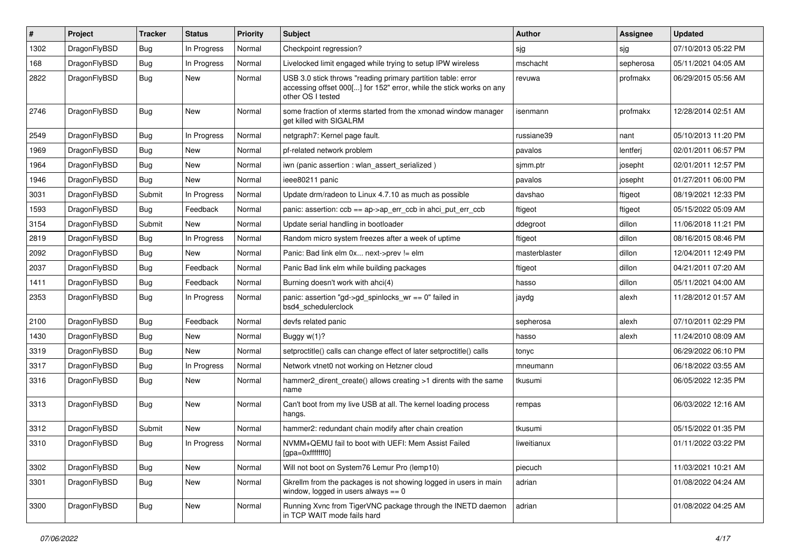| #    | Project      | <b>Tracker</b> | <b>Status</b> | <b>Priority</b> | Subject                                                                                                                                                  | <b>Author</b> | Assignee  | <b>Updated</b>      |
|------|--------------|----------------|---------------|-----------------|----------------------------------------------------------------------------------------------------------------------------------------------------------|---------------|-----------|---------------------|
| 1302 | DragonFlyBSD | Bug            | In Progress   | Normal          | Checkpoint regression?                                                                                                                                   | sjg           | sjg       | 07/10/2013 05:22 PM |
| 168  | DragonFlyBSD | Bug            | In Progress   | Normal          | Livelocked limit engaged while trying to setup IPW wireless                                                                                              | mschacht      | sepherosa | 05/11/2021 04:05 AM |
| 2822 | DragonFlyBSD | Bug            | New           | Normal          | USB 3.0 stick throws "reading primary partition table: error<br>accessing offset 000[] for 152" error, while the stick works on any<br>other OS I tested | revuwa        | profmakx  | 06/29/2015 05:56 AM |
| 2746 | DragonFlyBSD | Bug            | New           | Normal          | some fraction of xterms started from the xmonad window manager<br>get killed with SIGALRM                                                                | isenmann      | profmakx  | 12/28/2014 02:51 AM |
| 2549 | DragonFlyBSD | Bug            | In Progress   | Normal          | netgraph7: Kernel page fault.                                                                                                                            | russiane39    | nant      | 05/10/2013 11:20 PM |
| 1969 | DragonFlyBSD | <b>Bug</b>     | New           | Normal          | pf-related network problem                                                                                                                               | pavalos       | lentferj  | 02/01/2011 06:57 PM |
| 1964 | DragonFlyBSD | <b>Bug</b>     | <b>New</b>    | Normal          | iwn (panic assertion : wlan assert serialized)                                                                                                           | sjmm.ptr      | josepht   | 02/01/2011 12:57 PM |
| 1946 | DragonFlyBSD | <b>Bug</b>     | New           | Normal          | ieee80211 panic                                                                                                                                          | pavalos       | josepht   | 01/27/2011 06:00 PM |
| 3031 | DragonFlyBSD | Submit         | In Progress   | Normal          | Update drm/radeon to Linux 4.7.10 as much as possible                                                                                                    | davshao       | ftigeot   | 08/19/2021 12:33 PM |
| 1593 | DragonFlyBSD | Bug            | Feedback      | Normal          | panic: assertion: ccb == ap->ap_err_ccb in ahci_put_err_ccb                                                                                              | ftigeot       | ftigeot   | 05/15/2022 05:09 AM |
| 3154 | DragonFlyBSD | Submit         | New           | Normal          | Update serial handling in bootloader                                                                                                                     | ddegroot      | dillon    | 11/06/2018 11:21 PM |
| 2819 | DragonFlyBSD | <b>Bug</b>     | In Progress   | Normal          | Random micro system freezes after a week of uptime                                                                                                       | ftigeot       | dillon    | 08/16/2015 08:46 PM |
| 2092 | DragonFlyBSD | <b>Bug</b>     | New           | Normal          | Panic: Bad link elm 0x next->prev != elm                                                                                                                 | masterblaster | dillon    | 12/04/2011 12:49 PM |
| 2037 | DragonFlyBSD | <b>Bug</b>     | Feedback      | Normal          | Panic Bad link elm while building packages                                                                                                               | ftigeot       | dillon    | 04/21/2011 07:20 AM |
| 1411 | DragonFlyBSD | Bug            | Feedback      | Normal          | Burning doesn't work with ahci(4)                                                                                                                        | hasso         | dillon    | 05/11/2021 04:00 AM |
| 2353 | DragonFlyBSD | <b>Bug</b>     | In Progress   | Normal          | panic: assertion "gd->gd_spinlocks_wr == 0" failed in<br>bsd4_schedulerclock                                                                             | jaydg         | alexh     | 11/28/2012 01:57 AM |
| 2100 | DragonFlyBSD | Bug            | Feedback      | Normal          | devfs related panic                                                                                                                                      | sepherosa     | alexh     | 07/10/2011 02:29 PM |
| 1430 | DragonFlyBSD | <b>Bug</b>     | New           | Normal          | Buggy w(1)?                                                                                                                                              | hasso         | alexh     | 11/24/2010 08:09 AM |
| 3319 | DragonFlyBSD | <b>Bug</b>     | <b>New</b>    | Normal          | setproctitle() calls can change effect of later setproctitle() calls                                                                                     | tonyc         |           | 06/29/2022 06:10 PM |
| 3317 | DragonFlyBSD | <b>Bug</b>     | In Progress   | Normal          | Network vtnet0 not working on Hetzner cloud                                                                                                              | mneumann      |           | 06/18/2022 03:55 AM |
| 3316 | DragonFlyBSD | <b>Bug</b>     | New           | Normal          | hammer2_dirent_create() allows creating >1 dirents with the same<br>name                                                                                 | tkusumi       |           | 06/05/2022 12:35 PM |
| 3313 | DragonFlyBSD | Bug            | New           | Normal          | Can't boot from my live USB at all. The kernel loading process<br>hangs.                                                                                 | rempas        |           | 06/03/2022 12:16 AM |
| 3312 | DragonFlyBSD | Submit         | New           | Normal          | hammer2: redundant chain modify after chain creation                                                                                                     | tkusumi       |           | 05/15/2022 01:35 PM |
| 3310 | DragonFlyBSD | <b>Bug</b>     | In Progress   | Normal          | NVMM+QEMU fail to boot with UEFI: Mem Assist Failed<br>[gpa=0xfffffff0]                                                                                  | liweitianux   |           | 01/11/2022 03:22 PM |
| 3302 | DragonFlyBSD | Bug            | <b>New</b>    | Normal          | Will not boot on System76 Lemur Pro (lemp10)                                                                                                             | piecuch       |           | 11/03/2021 10:21 AM |
| 3301 | DragonFlyBSD | Bug            | New           | Normal          | Gkrellm from the packages is not showing logged in users in main<br>window, logged in users always $== 0$                                                | adrian        |           | 01/08/2022 04:24 AM |
| 3300 | DragonFlyBSD | <b>Bug</b>     | New           | Normal          | Running Xvnc from TigerVNC package through the INETD daemon<br>in TCP WAIT mode fails hard                                                               | adrian        |           | 01/08/2022 04:25 AM |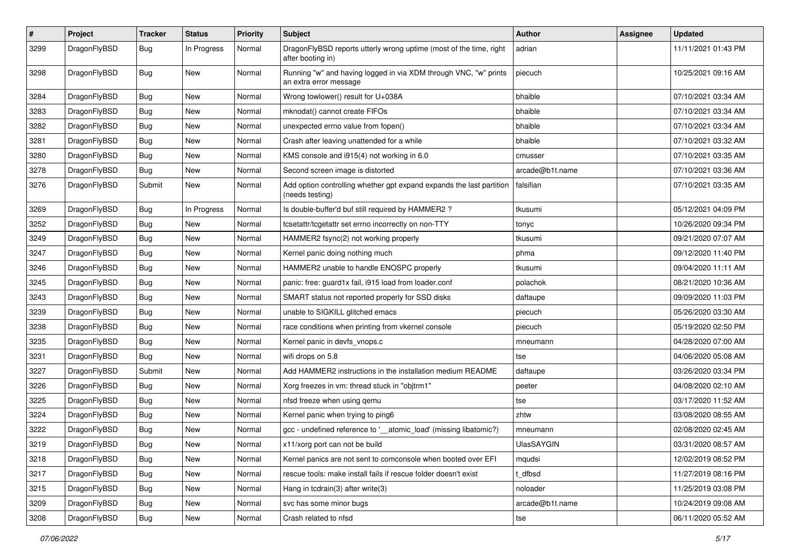| $\sharp$ | Project      | <b>Tracker</b> | <b>Status</b> | <b>Priority</b> | <b>Subject</b>                                                                             | Author          | Assignee | <b>Updated</b>      |
|----------|--------------|----------------|---------------|-----------------|--------------------------------------------------------------------------------------------|-----------------|----------|---------------------|
| 3299     | DragonFlyBSD | Bug            | In Progress   | Normal          | DragonFlyBSD reports utterly wrong uptime (most of the time, right<br>after booting in)    | adrian          |          | 11/11/2021 01:43 PM |
| 3298     | DragonFlyBSD | Bug            | <b>New</b>    | Normal          | Running "w" and having logged in via XDM through VNC, "w" prints<br>an extra error message | piecuch         |          | 10/25/2021 09:16 AM |
| 3284     | DragonFlyBSD | Bug            | <b>New</b>    | Normal          | Wrong towlower() result for U+038A                                                         | bhaible         |          | 07/10/2021 03:34 AM |
| 3283     | DragonFlyBSD | Bug            | New           | Normal          | mknodat() cannot create FIFOs                                                              | bhaible         |          | 07/10/2021 03:34 AM |
| 3282     | DragonFlyBSD | <b>Bug</b>     | New           | Normal          | unexpected errno value from fopen()                                                        | bhaible         |          | 07/10/2021 03:34 AM |
| 3281     | DragonFlyBSD | Bug            | New           | Normal          | Crash after leaving unattended for a while                                                 | bhaible         |          | 07/10/2021 03:32 AM |
| 3280     | DragonFlyBSD | <b>Bug</b>     | <b>New</b>    | Normal          | KMS console and i915(4) not working in 6.0                                                 | cmusser         |          | 07/10/2021 03:35 AM |
| 3278     | DragonFlyBSD | <b>Bug</b>     | New           | Normal          | Second screen image is distorted                                                           | arcade@b1t.name |          | 07/10/2021 03:36 AM |
| 3276     | DragonFlyBSD | Submit         | <b>New</b>    | Normal          | Add option controlling whether gpt expand expands the last partition<br>(needs testing)    | falsifian       |          | 07/10/2021 03:35 AM |
| 3269     | DragonFlyBSD | Bug            | In Progress   | Normal          | Is double-buffer'd buf still required by HAMMER2 ?                                         | tkusumi         |          | 05/12/2021 04:09 PM |
| 3252     | DragonFlyBSD | Bug            | New           | Normal          | tcsetattr/tcgetattr set errno incorrectly on non-TTY                                       | tonyc           |          | 10/26/2020 09:34 PM |
| 3249     | DragonFlyBSD | <b>Bug</b>     | New           | Normal          | HAMMER2 fsync(2) not working properly                                                      | tkusumi         |          | 09/21/2020 07:07 AM |
| 3247     | DragonFlyBSD | Bug            | <b>New</b>    | Normal          | Kernel panic doing nothing much                                                            | phma            |          | 09/12/2020 11:40 PM |
| 3246     | DragonFlyBSD | <b>Bug</b>     | New           | Normal          | HAMMER2 unable to handle ENOSPC properly                                                   | tkusumi         |          | 09/04/2020 11:11 AM |
| 3245     | DragonFlyBSD | <b>Bug</b>     | <b>New</b>    | Normal          | panic: free: guard1x fail, i915 load from loader.conf                                      | polachok        |          | 08/21/2020 10:36 AM |
| 3243     | DragonFlyBSD | <b>Bug</b>     | New           | Normal          | SMART status not reported properly for SSD disks                                           | daftaupe        |          | 09/09/2020 11:03 PM |
| 3239     | DragonFlyBSD | <b>Bug</b>     | <b>New</b>    | Normal          | unable to SIGKILL glitched emacs                                                           | piecuch         |          | 05/26/2020 03:30 AM |
| 3238     | DragonFlyBSD | Bug            | New           | Normal          | race conditions when printing from vkernel console                                         | piecuch         |          | 05/19/2020 02:50 PM |
| 3235     | DragonFlyBSD | <b>Bug</b>     | <b>New</b>    | Normal          | Kernel panic in devfs_vnops.c                                                              | mneumann        |          | 04/28/2020 07:00 AM |
| 3231     | DragonFlyBSD | <b>Bug</b>     | <b>New</b>    | Normal          | wifi drops on 5.8                                                                          | tse             |          | 04/06/2020 05:08 AM |
| 3227     | DragonFlyBSD | Submit         | New           | Normal          | Add HAMMER2 instructions in the installation medium README                                 | daftaupe        |          | 03/26/2020 03:34 PM |
| 3226     | DragonFlyBSD | Bug            | New           | Normal          | Xorg freezes in vm: thread stuck in "objtrm1"                                              | peeter          |          | 04/08/2020 02:10 AM |
| 3225     | DragonFlyBSD | <b>Bug</b>     | <b>New</b>    | Normal          | nfsd freeze when using qemu                                                                | tse             |          | 03/17/2020 11:52 AM |
| 3224     | DragonFlyBSD | Bug            | <b>New</b>    | Normal          | Kernel panic when trying to ping6                                                          | zhtw            |          | 03/08/2020 08:55 AM |
| 3222     | DragonFlyBSD | <b>Bug</b>     | <b>New</b>    | Normal          | gcc - undefined reference to '__atomic_load' (missing libatomic?)                          | mneumann        |          | 02/08/2020 02:45 AM |
| 3219     | DragonFlyBSD | Bug            | <b>New</b>    | Normal          | x11/xorg port can not be build                                                             | UlasSAYGIN      |          | 03/31/2020 08:57 AM |
| 3218     | DragonFlyBSD | Bug            | <b>New</b>    | Normal          | Kernel panics are not sent to comconsole when booted over EFI                              | mqudsi          |          | 12/02/2019 08:52 PM |
| 3217     | DragonFlyBSD | Bug            | New           | Normal          | rescue tools: make install fails if rescue folder doesn't exist                            | t_dfbsd         |          | 11/27/2019 08:16 PM |
| 3215     | DragonFlyBSD | <b>Bug</b>     | New           | Normal          | Hang in tcdrain(3) after write(3)                                                          | noloader        |          | 11/25/2019 03:08 PM |
| 3209     | DragonFlyBSD | <b>Bug</b>     | New           | Normal          | svc has some minor bugs                                                                    | arcade@b1t.name |          | 10/24/2019 09:08 AM |
| 3208     | DragonFlyBSD | <b>Bug</b>     | New           | Normal          | Crash related to nfsd                                                                      | tse             |          | 06/11/2020 05:52 AM |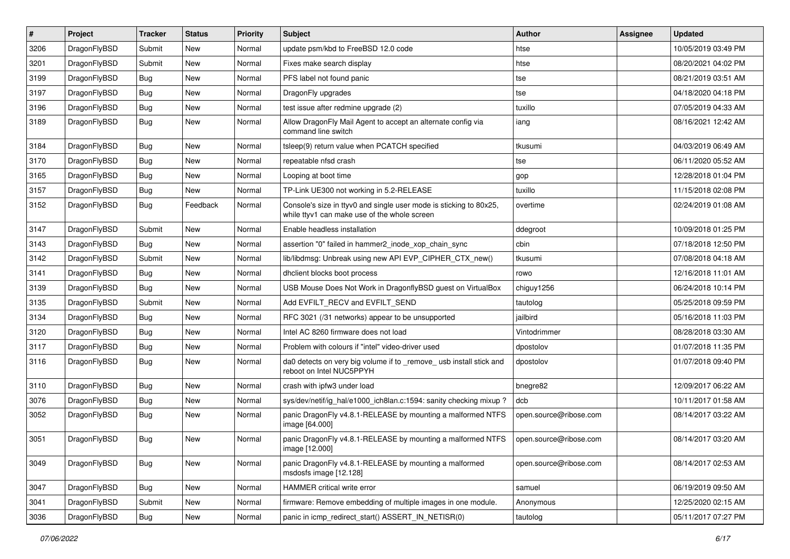| $\sharp$ | Project      | <b>Tracker</b> | <b>Status</b> | <b>Priority</b> | Subject                                                                                                            | <b>Author</b>          | <b>Assignee</b> | <b>Updated</b>      |
|----------|--------------|----------------|---------------|-----------------|--------------------------------------------------------------------------------------------------------------------|------------------------|-----------------|---------------------|
| 3206     | DragonFlyBSD | Submit         | <b>New</b>    | Normal          | update psm/kbd to FreeBSD 12.0 code                                                                                | htse                   |                 | 10/05/2019 03:49 PM |
| 3201     | DragonFlyBSD | Submit         | New           | Normal          | Fixes make search display                                                                                          | htse                   |                 | 08/20/2021 04:02 PM |
| 3199     | DragonFlyBSD | <b>Bug</b>     | New           | Normal          | PFS label not found panic                                                                                          | tse                    |                 | 08/21/2019 03:51 AM |
| 3197     | DragonFlyBSD | <b>Bug</b>     | New           | Normal          | DragonFly upgrades                                                                                                 | tse                    |                 | 04/18/2020 04:18 PM |
| 3196     | DragonFlyBSD | <b>Bug</b>     | New           | Normal          | test issue after redmine upgrade (2)                                                                               | tuxillo                |                 | 07/05/2019 04:33 AM |
| 3189     | DragonFlyBSD | <b>Bug</b>     | <b>New</b>    | Normal          | Allow DragonFly Mail Agent to accept an alternate config via<br>command line switch                                | iang                   |                 | 08/16/2021 12:42 AM |
| 3184     | DragonFlyBSD | Bug            | <b>New</b>    | Normal          | tsleep(9) return value when PCATCH specified                                                                       | tkusumi                |                 | 04/03/2019 06:49 AM |
| 3170     | DragonFlyBSD | <b>Bug</b>     | <b>New</b>    | Normal          | repeatable nfsd crash                                                                                              | tse                    |                 | 06/11/2020 05:52 AM |
| 3165     | DragonFlyBSD | Bug            | <b>New</b>    | Normal          | Looping at boot time                                                                                               | gop                    |                 | 12/28/2018 01:04 PM |
| 3157     | DragonFlyBSD | <b>Bug</b>     | New           | Normal          | TP-Link UE300 not working in 5.2-RELEASE                                                                           | tuxillo                |                 | 11/15/2018 02:08 PM |
| 3152     | DragonFlyBSD | Bug            | Feedback      | Normal          | Console's size in ttyv0 and single user mode is sticking to 80x25,<br>while ttyv1 can make use of the whole screen | overtime               |                 | 02/24/2019 01:08 AM |
| 3147     | DragonFlyBSD | Submit         | <b>New</b>    | Normal          | Enable headless installation                                                                                       | ddegroot               |                 | 10/09/2018 01:25 PM |
| 3143     | DragonFlyBSD | <b>Bug</b>     | New           | Normal          | assertion "0" failed in hammer2 inode xop chain sync                                                               | cbin                   |                 | 07/18/2018 12:50 PM |
| 3142     | DragonFlyBSD | Submit         | New           | Normal          | lib/libdmsg: Unbreak using new API EVP_CIPHER_CTX_new()                                                            | tkusumi                |                 | 07/08/2018 04:18 AM |
| 3141     | DragonFlyBSD | Bug            | New           | Normal          | dhclient blocks boot process                                                                                       | rowo                   |                 | 12/16/2018 11:01 AM |
| 3139     | DragonFlyBSD | <b>Bug</b>     | <b>New</b>    | Normal          | USB Mouse Does Not Work in DragonflyBSD guest on VirtualBox                                                        | chiguy1256             |                 | 06/24/2018 10:14 PM |
| 3135     | DragonFlyBSD | Submit         | <b>New</b>    | Normal          | Add EVFILT_RECV and EVFILT_SEND                                                                                    | tautolog               |                 | 05/25/2018 09:59 PM |
| 3134     | DragonFlyBSD | <b>Bug</b>     | <b>New</b>    | Normal          | RFC 3021 (/31 networks) appear to be unsupported                                                                   | jailbird               |                 | 05/16/2018 11:03 PM |
| 3120     | DragonFlyBSD | <b>Bug</b>     | New           | Normal          | Intel AC 8260 firmware does not load                                                                               | Vintodrimmer           |                 | 08/28/2018 03:30 AM |
| 3117     | DragonFlyBSD | <b>Bug</b>     | New           | Normal          | Problem with colours if "intel" video-driver used                                                                  | dpostolov              |                 | 01/07/2018 11:35 PM |
| 3116     | DragonFlyBSD | <b>Bug</b>     | New           | Normal          | da0 detects on very big volume if to _remove_ usb install stick and<br>reboot on Intel NUC5PPYH                    | dpostolov              |                 | 01/07/2018 09:40 PM |
| 3110     | DragonFlyBSD | <b>Bug</b>     | <b>New</b>    | Normal          | crash with ipfw3 under load                                                                                        | bnegre82               |                 | 12/09/2017 06:22 AM |
| 3076     | DragonFlyBSD | <b>Bug</b>     | <b>New</b>    | Normal          | sys/dev/netif/ig hal/e1000 ich8lan.c:1594: sanity checking mixup?                                                  | dcb                    |                 | 10/11/2017 01:58 AM |
| 3052     | DragonFlyBSD | <b>Bug</b>     | <b>New</b>    | Normal          | panic DragonFly v4.8.1-RELEASE by mounting a malformed NTFS<br>image [64.000]                                      | open.source@ribose.com |                 | 08/14/2017 03:22 AM |
| 3051     | DragonFlyBSD | Bug            | <b>New</b>    | Normal          | panic DragonFly v4.8.1-RELEASE by mounting a malformed NTFS<br>$\text{image}$ [12.000]                             | open.source@ribose.com |                 | 08/14/2017 03:20 AM |
| 3049     | DragonFlyBSD | <b>Bug</b>     | New           | Normal          | panic DragonFly v4.8.1-RELEASE by mounting a malformed<br>msdosfs image [12.128]                                   | open.source@ribose.com |                 | 08/14/2017 02:53 AM |
| 3047     | DragonFlyBSD | <b>Bug</b>     | New           | Normal          | HAMMER critical write error                                                                                        | samuel                 |                 | 06/19/2019 09:50 AM |
| 3041     | DragonFlyBSD | Submit         | <b>New</b>    | Normal          | firmware: Remove embedding of multiple images in one module.                                                       | Anonymous              |                 | 12/25/2020 02:15 AM |
| 3036     | DragonFlyBSD | <b>Bug</b>     | New           | Normal          | panic in icmp redirect start() ASSERT IN NETISR(0)                                                                 | tautolog               |                 | 05/11/2017 07:27 PM |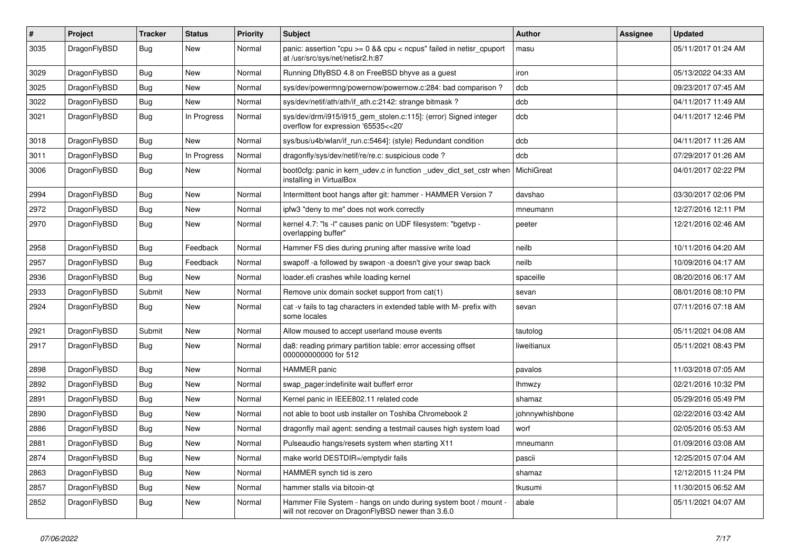| $\pmb{\#}$ | Project      | <b>Tracker</b> | <b>Status</b> | <b>Priority</b> | Subject                                                                                                              | <b>Author</b>   | Assignee | <b>Updated</b>      |
|------------|--------------|----------------|---------------|-----------------|----------------------------------------------------------------------------------------------------------------------|-----------------|----------|---------------------|
| 3035       | DragonFlyBSD | Bug            | New           | Normal          | panic: assertion "cpu >= 0 && cpu < ncpus" failed in netisr_cpuport<br>at /usr/src/sys/net/netisr2.h:87              | masu            |          | 05/11/2017 01:24 AM |
| 3029       | DragonFlyBSD | <b>Bug</b>     | New           | Normal          | Running DflyBSD 4.8 on FreeBSD bhyve as a guest                                                                      | iron            |          | 05/13/2022 04:33 AM |
| 3025       | DragonFlyBSD | Bug            | New           | Normal          | sys/dev/powermng/powernow/powernow.c:284: bad comparison?                                                            | dcb             |          | 09/23/2017 07:45 AM |
| 3022       | DragonFlyBSD | <b>Bug</b>     | <b>New</b>    | Normal          | sys/dev/netif/ath/ath/if_ath.c:2142: strange bitmask?                                                                | dcb             |          | 04/11/2017 11:49 AM |
| 3021       | DragonFlyBSD | Bug            | In Progress   | Normal          | sys/dev/drm/i915/i915_gem_stolen.c:115]: (error) Signed integer<br>overflow for expression '65535<<20'               | dcb             |          | 04/11/2017 12:46 PM |
| 3018       | DragonFlyBSD | <b>Bug</b>     | New           | Normal          | sys/bus/u4b/wlan/if_run.c:5464]: (style) Redundant condition                                                         | dcb             |          | 04/11/2017 11:26 AM |
| 3011       | DragonFlyBSD | Bug            | In Progress   | Normal          | dragonfly/sys/dev/netif/re/re.c: suspicious code?                                                                    | dcb             |          | 07/29/2017 01:26 AM |
| 3006       | DragonFlyBSD | Bug            | New           | Normal          | boot0cfg: panic in kern_udev.c in function _udev_dict_set_cstr when<br>installing in VirtualBox                      | MichiGreat      |          | 04/01/2017 02:22 PM |
| 2994       | DragonFlyBSD | Bug            | New           | Normal          | Intermittent boot hangs after git: hammer - HAMMER Version 7                                                         | davshao         |          | 03/30/2017 02:06 PM |
| 2972       | DragonFlyBSD | <b>Bug</b>     | <b>New</b>    | Normal          | ipfw3 "deny to me" does not work correctly                                                                           | mneumann        |          | 12/27/2016 12:11 PM |
| 2970       | DragonFlyBSD | Bug            | New           | Normal          | kernel 4.7: "Is -I" causes panic on UDF filesystem: "bgetvp -<br>overlapping buffer"                                 | peeter          |          | 12/21/2016 02:46 AM |
| 2958       | DragonFlyBSD | <b>Bug</b>     | Feedback      | Normal          | Hammer FS dies during pruning after massive write load                                                               | neilb           |          | 10/11/2016 04:20 AM |
| 2957       | DragonFlyBSD | Bug            | Feedback      | Normal          | swapoff -a followed by swapon -a doesn't give your swap back                                                         | neilb           |          | 10/09/2016 04:17 AM |
| 2936       | DragonFlyBSD | Bug            | <b>New</b>    | Normal          | loader.efi crashes while loading kernel                                                                              | spaceille       |          | 08/20/2016 06:17 AM |
| 2933       | DragonFlyBSD | Submit         | New           | Normal          | Remove unix domain socket support from cat(1)                                                                        | sevan           |          | 08/01/2016 08:10 PM |
| 2924       | DragonFlyBSD | Bug            | New           | Normal          | cat -v fails to tag characters in extended table with M- prefix with<br>some locales                                 | sevan           |          | 07/11/2016 07:18 AM |
| 2921       | DragonFlyBSD | Submit         | New           | Normal          | Allow moused to accept userland mouse events                                                                         | tautolog        |          | 05/11/2021 04:08 AM |
| 2917       | DragonFlyBSD | Bug            | New           | Normal          | da8: reading primary partition table: error accessing offset<br>000000000000 for 512                                 | liweitianux     |          | 05/11/2021 08:43 PM |
| 2898       | DragonFlyBSD | Bug            | <b>New</b>    | Normal          | HAMMER panic                                                                                                         | pavalos         |          | 11/03/2018 07:05 AM |
| 2892       | DragonFlyBSD | Bug            | New           | Normal          | swap_pager:indefinite wait bufferf error                                                                             | lhmwzy          |          | 02/21/2016 10:32 PM |
| 2891       | DragonFlyBSD | Bug            | <b>New</b>    | Normal          | Kernel panic in IEEE802.11 related code                                                                              | shamaz          |          | 05/29/2016 05:49 PM |
| 2890       | DragonFlyBSD | Bug            | New           | Normal          | not able to boot usb installer on Toshiba Chromebook 2                                                               | johnnywhishbone |          | 02/22/2016 03:42 AM |
| 2886       | DragonFlyBSD | Bug            | New           | Normal          | dragonfly mail agent: sending a testmail causes high system load                                                     | worf            |          | 02/05/2016 05:53 AM |
| 2881       | DragonFlyBSD | Bug            | <b>New</b>    | Normal          | Pulseaudio hangs/resets system when starting X11                                                                     | mneumann        |          | 01/09/2016 03:08 AM |
| 2874       | DragonFlyBSD | Bug            | New           | Normal          | make world DESTDIR=/emptydir fails                                                                                   | pascii          |          | 12/25/2015 07:04 AM |
| 2863       | DragonFlyBSD | <b>Bug</b>     | New           | Normal          | HAMMER synch tid is zero                                                                                             | shamaz          |          | 12/12/2015 11:24 PM |
| 2857       | DragonFlyBSD | <b>Bug</b>     | New           | Normal          | hammer stalls via bitcoin-qt                                                                                         | tkusumi         |          | 11/30/2015 06:52 AM |
| 2852       | DragonFlyBSD | Bug            | New           | Normal          | Hammer File System - hangs on undo during system boot / mount -<br>will not recover on DragonFlyBSD newer than 3.6.0 | abale           |          | 05/11/2021 04:07 AM |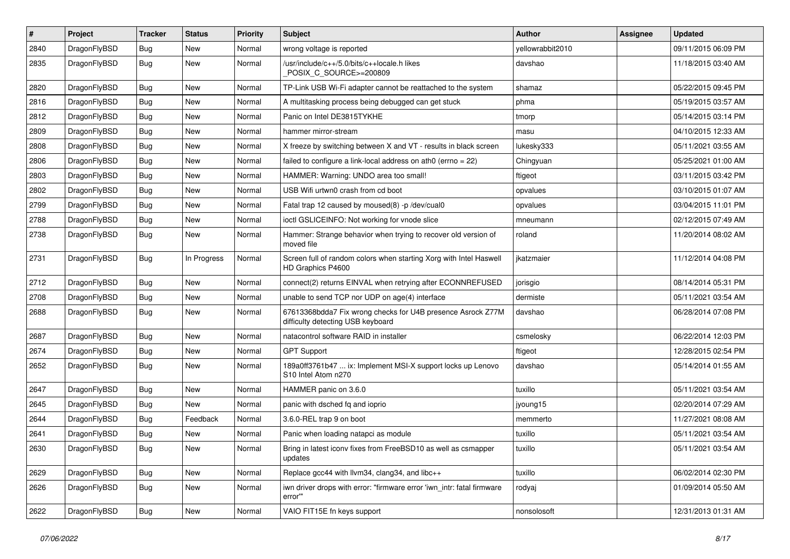| #    | Project      | <b>Tracker</b> | <b>Status</b> | <b>Priority</b> | Subject                                                                                          | <b>Author</b>    | Assignee | <b>Updated</b>      |
|------|--------------|----------------|---------------|-----------------|--------------------------------------------------------------------------------------------------|------------------|----------|---------------------|
| 2840 | DragonFlyBSD | <b>Bug</b>     | <b>New</b>    | Normal          | wrong voltage is reported                                                                        | yellowrabbit2010 |          | 09/11/2015 06:09 PM |
| 2835 | DragonFlyBSD | <b>Bug</b>     | <b>New</b>    | Normal          | /usr/include/c++/5.0/bits/c++locale.h likes<br>POSIX_C_SOURCE>=200809                            | davshao          |          | 11/18/2015 03:40 AM |
| 2820 | DragonFlyBSD | <b>Bug</b>     | New           | Normal          | TP-Link USB Wi-Fi adapter cannot be reattached to the system                                     | shamaz           |          | 05/22/2015 09:45 PM |
| 2816 | DragonFlyBSD | <b>Bug</b>     | New           | Normal          | A multitasking process being debugged can get stuck                                              | phma             |          | 05/19/2015 03:57 AM |
| 2812 | DragonFlyBSD | <b>Bug</b>     | New           | Normal          | Panic on Intel DE3815TYKHE                                                                       | tmorp            |          | 05/14/2015 03:14 PM |
| 2809 | DragonFlyBSD | <b>Bug</b>     | <b>New</b>    | Normal          | hammer mirror-stream                                                                             | masu             |          | 04/10/2015 12:33 AM |
| 2808 | DragonFlyBSD | <b>Bug</b>     | New           | Normal          | X freeze by switching between X and VT - results in black screen                                 | lukesky333       |          | 05/11/2021 03:55 AM |
| 2806 | DragonFlyBSD | <b>Bug</b>     | New           | Normal          | failed to configure a link-local address on ath0 (errno = 22)                                    | Chingyuan        |          | 05/25/2021 01:00 AM |
| 2803 | DragonFlyBSD | Bug            | <b>New</b>    | Normal          | HAMMER: Warning: UNDO area too small!                                                            | ftigeot          |          | 03/11/2015 03:42 PM |
| 2802 | DragonFlyBSD | <b>Bug</b>     | New           | Normal          | USB Wifi urtwn0 crash from cd boot                                                               | opvalues         |          | 03/10/2015 01:07 AM |
| 2799 | DragonFlyBSD | <b>Bug</b>     | New           | Normal          | Fatal trap 12 caused by moused(8) -p /dev/cual0                                                  | opvalues         |          | 03/04/2015 11:01 PM |
| 2788 | DragonFlyBSD | <b>Bug</b>     | New           | Normal          | ioctl GSLICEINFO: Not working for vnode slice                                                    | mneumann         |          | 02/12/2015 07:49 AM |
| 2738 | DragonFlyBSD | <b>Bug</b>     | New           | Normal          | Hammer: Strange behavior when trying to recover old version of<br>moved file                     | roland           |          | 11/20/2014 08:02 AM |
| 2731 | DragonFlyBSD | Bug            | In Progress   | Normal          | Screen full of random colors when starting Xorg with Intel Haswell<br>HD Graphics P4600          | jkatzmaier       |          | 11/12/2014 04:08 PM |
| 2712 | DragonFlyBSD | Bug            | <b>New</b>    | Normal          | connect(2) returns EINVAL when retrying after ECONNREFUSED                                       | jorisgio         |          | 08/14/2014 05:31 PM |
| 2708 | DragonFlyBSD | <b>Bug</b>     | New           | Normal          | unable to send TCP nor UDP on age(4) interface                                                   | dermiste         |          | 05/11/2021 03:54 AM |
| 2688 | DragonFlyBSD | <b>Bug</b>     | <b>New</b>    | Normal          | 67613368bdda7 Fix wrong checks for U4B presence Asrock Z77M<br>difficulty detecting USB keyboard | davshao          |          | 06/28/2014 07:08 PM |
| 2687 | DragonFlyBSD | Bug            | New           | Normal          | natacontrol software RAID in installer                                                           | csmelosky        |          | 06/22/2014 12:03 PM |
| 2674 | DragonFlyBSD | Bug            | New           | Normal          | <b>GPT Support</b>                                                                               | ftigeot          |          | 12/28/2015 02:54 PM |
| 2652 | DragonFlyBSD | <b>Bug</b>     | <b>New</b>    | Normal          | 189a0ff3761b47  ix: Implement MSI-X support locks up Lenovo<br>S10 Intel Atom n270               | davshao          |          | 05/14/2014 01:55 AM |
| 2647 | DragonFlyBSD | Bug            | <b>New</b>    | Normal          | HAMMER panic on 3.6.0                                                                            | tuxillo          |          | 05/11/2021 03:54 AM |
| 2645 | DragonFlyBSD | <b>Bug</b>     | New           | Normal          | panic with dsched fq and ioprio                                                                  | jyoung15         |          | 02/20/2014 07:29 AM |
| 2644 | DragonFlyBSD | <b>Bug</b>     | Feedback      | Normal          | 3.6.0-REL trap 9 on boot                                                                         | memmerto         |          | 11/27/2021 08:08 AM |
| 2641 | DragonFlyBSD | <b>Bug</b>     | New           | Normal          | Panic when loading natapci as module                                                             | tuxillo          |          | 05/11/2021 03:54 AM |
| 2630 | DragonFlyBSD | <b>Bug</b>     | New           | Normal          | Bring in latest iconv fixes from FreeBSD10 as well as csmapper<br>updates                        | tuxillo          |          | 05/11/2021 03:54 AM |
| 2629 | DragonFlyBSD | Bug            | <b>New</b>    | Normal          | Replace gcc44 with llvm34, clang34, and libc++                                                   | tuxillo          |          | 06/02/2014 02:30 PM |
| 2626 | DragonFlyBSD | <b>Bug</b>     | New           | Normal          | iwn driver drops with error: "firmware error 'iwn_intr: fatal firmware<br>error""                | rodyaj           |          | 01/09/2014 05:50 AM |
| 2622 | DragonFlyBSD | <b>Bug</b>     | New           | Normal          | VAIO FIT15E fn keys support                                                                      | nonsolosoft      |          | 12/31/2013 01:31 AM |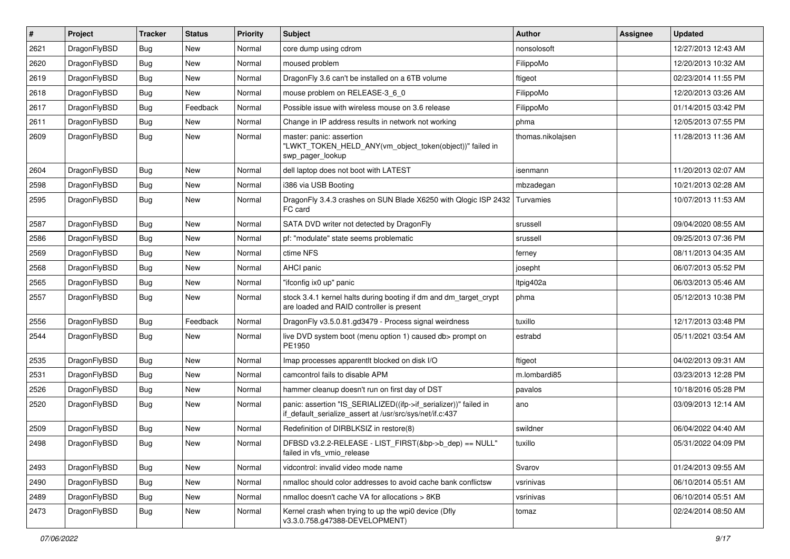| $\vert$ # | Project      | <b>Tracker</b> | <b>Status</b> | <b>Priority</b> | <b>Subject</b>                                                                                                               | <b>Author</b>     | Assignee | <b>Updated</b>      |
|-----------|--------------|----------------|---------------|-----------------|------------------------------------------------------------------------------------------------------------------------------|-------------------|----------|---------------------|
| 2621      | DragonFlyBSD | Bug            | <b>New</b>    | Normal          | core dump using cdrom                                                                                                        | nonsolosoft       |          | 12/27/2013 12:43 AM |
| 2620      | DragonFlyBSD | <b>Bug</b>     | <b>New</b>    | Normal          | moused problem                                                                                                               | FilippoMo         |          | 12/20/2013 10:32 AM |
| 2619      | DragonFlyBSD | <b>Bug</b>     | <b>New</b>    | Normal          | DragonFly 3.6 can't be installed on a 6TB volume                                                                             | ftigeot           |          | 02/23/2014 11:55 PM |
| 2618      | DragonFlyBSD | Bug            | <b>New</b>    | Normal          | mouse problem on RELEASE-3_6_0                                                                                               | FilippoMo         |          | 12/20/2013 03:26 AM |
| 2617      | DragonFlyBSD | <b>Bug</b>     | Feedback      | Normal          | Possible issue with wireless mouse on 3.6 release                                                                            | FilippoMo         |          | 01/14/2015 03:42 PM |
| 2611      | DragonFlyBSD | Bug            | <b>New</b>    | Normal          | Change in IP address results in network not working                                                                          | phma              |          | 12/05/2013 07:55 PM |
| 2609      | DragonFlyBSD | Bug            | <b>New</b>    | Normal          | master: panic: assertion<br>"LWKT_TOKEN_HELD_ANY(vm_object_token(object))" failed in<br>swp pager lookup                     | thomas.nikolajsen |          | 11/28/2013 11:36 AM |
| 2604      | DragonFlyBSD | Bug            | <b>New</b>    | Normal          | dell laptop does not boot with LATEST                                                                                        | isenmann          |          | 11/20/2013 02:07 AM |
| 2598      | DragonFlyBSD | Bug            | <b>New</b>    | Normal          | i386 via USB Booting                                                                                                         | mbzadegan         |          | 10/21/2013 02:28 AM |
| 2595      | DragonFlyBSD | Bug            | <b>New</b>    | Normal          | DragonFly 3.4.3 crashes on SUN Blade X6250 with Qlogic ISP 2432<br>FC card                                                   | Turvamies         |          | 10/07/2013 11:53 AM |
| 2587      | DragonFlyBSD | Bug            | <b>New</b>    | Normal          | SATA DVD writer not detected by DragonFly                                                                                    | srussell          |          | 09/04/2020 08:55 AM |
| 2586      | DragonFlyBSD | Bug            | <b>New</b>    | Normal          | pf: "modulate" state seems problematic                                                                                       | srussell          |          | 09/25/2013 07:36 PM |
| 2569      | DragonFlyBSD | Bug            | <b>New</b>    | Normal          | ctime NFS                                                                                                                    | ferney            |          | 08/11/2013 04:35 AM |
| 2568      | DragonFlyBSD | <b>Bug</b>     | <b>New</b>    | Normal          | AHCI panic                                                                                                                   | josepht           |          | 06/07/2013 05:52 PM |
| 2565      | DragonFlyBSD | <b>Bug</b>     | <b>New</b>    | Normal          | "ifconfig ix0 up" panic                                                                                                      | Itpig402a         |          | 06/03/2013 05:46 AM |
| 2557      | DragonFlyBSD | Bug            | <b>New</b>    | Normal          | stock 3.4.1 kernel halts during booting if dm and dm_target_crypt<br>are loaded and RAID controller is present               | phma              |          | 05/12/2013 10:38 PM |
| 2556      | DragonFlyBSD | Bug            | Feedback      | Normal          | DragonFly v3.5.0.81.gd3479 - Process signal weirdness                                                                        | tuxillo           |          | 12/17/2013 03:48 PM |
| 2544      | DragonFlyBSD | Bug            | <b>New</b>    | Normal          | live DVD system boot (menu option 1) caused db> prompt on<br>PE1950                                                          | estrabd           |          | 05/11/2021 03:54 AM |
| 2535      | DragonFlyBSD | Bug            | <b>New</b>    | Normal          | Imap processes apparentlt blocked on disk I/O                                                                                | ftigeot           |          | 04/02/2013 09:31 AM |
| 2531      | DragonFlyBSD | Bug            | <b>New</b>    | Normal          | camcontrol fails to disable APM                                                                                              | m.lombardi85      |          | 03/23/2013 12:28 PM |
| 2526      | DragonFlyBSD | <b>Bug</b>     | <b>New</b>    | Normal          | hammer cleanup doesn't run on first day of DST                                                                               | pavalos           |          | 10/18/2016 05:28 PM |
| 2520      | DragonFlyBSD | Bug            | <b>New</b>    | Normal          | panic: assertion "IS_SERIALIZED((ifp->if_serializer))" failed in<br>if_default_serialize_assert at /usr/src/sys/net/if.c:437 | ano               |          | 03/09/2013 12:14 AM |
| 2509      | DragonFlyBSD | Bug            | <b>New</b>    | Normal          | Redefinition of DIRBLKSIZ in restore(8)                                                                                      | swildner          |          | 06/04/2022 04:40 AM |
| 2498      | DragonFlyBSD | Bug            | New           | Normal          | DFBSD v3.2.2-RELEASE - LIST_FIRST(&bp->b_dep) == NULL"<br>failed in vfs_vmio_release                                         | tuxillo           |          | 05/31/2022 04:09 PM |
| 2493      | DragonFlyBSD | <b>Bug</b>     | New           | Normal          | vidcontrol: invalid video mode name                                                                                          | Svarov            |          | 01/24/2013 09:55 AM |
| 2490      | DragonFlyBSD | Bug            | New           | Normal          | nmalloc should color addresses to avoid cache bank conflictsw                                                                | vsrinivas         |          | 06/10/2014 05:51 AM |
| 2489      | DragonFlyBSD | Bug            | New           | Normal          | nmalloc doesn't cache VA for allocations > 8KB                                                                               | vsrinivas         |          | 06/10/2014 05:51 AM |
| 2473      | DragonFlyBSD | Bug            | New           | Normal          | Kernel crash when trying to up the wpi0 device (Dfly<br>v3.3.0.758.g47388-DEVELOPMENT)                                       | tomaz             |          | 02/24/2014 08:50 AM |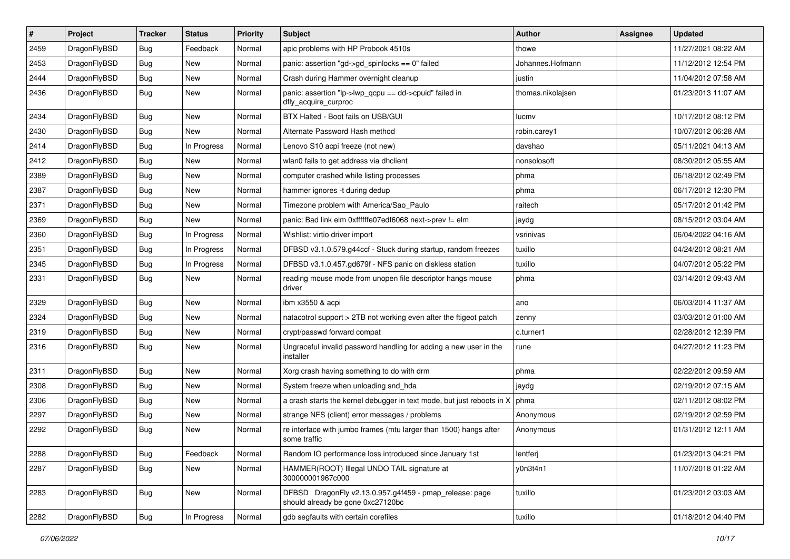| #    | Project      | <b>Tracker</b> | <b>Status</b> | <b>Priority</b> | Subject                                                                                      | <b>Author</b>     | Assignee | <b>Updated</b>      |
|------|--------------|----------------|---------------|-----------------|----------------------------------------------------------------------------------------------|-------------------|----------|---------------------|
| 2459 | DragonFlyBSD | <b>Bug</b>     | Feedback      | Normal          | apic problems with HP Probook 4510s                                                          | thowe             |          | 11/27/2021 08:22 AM |
| 2453 | DragonFlyBSD | Bug            | New           | Normal          | panic: assertion "gd->gd_spinlocks == 0" failed                                              | Johannes.Hofmann  |          | 11/12/2012 12:54 PM |
| 2444 | DragonFlyBSD | <b>Bug</b>     | New           | Normal          | Crash during Hammer overnight cleanup                                                        | justin            |          | 11/04/2012 07:58 AM |
| 2436 | DragonFlyBSD | <b>Bug</b>     | New           | Normal          | panic: assertion "lp->lwp_qcpu == dd->cpuid" failed in<br>dfly_acquire_curproc               | thomas.nikolajsen |          | 01/23/2013 11:07 AM |
| 2434 | DragonFlyBSD | Bug            | New           | Normal          | BTX Halted - Boot fails on USB/GUI                                                           | lucmv             |          | 10/17/2012 08:12 PM |
| 2430 | DragonFlyBSD | <b>Bug</b>     | New           | Normal          | Alternate Password Hash method                                                               | robin.carey1      |          | 10/07/2012 06:28 AM |
| 2414 | DragonFlyBSD | Bug            | In Progress   | Normal          | Lenovo S10 acpi freeze (not new)                                                             | davshao           |          | 05/11/2021 04:13 AM |
| 2412 | DragonFlyBSD | Bug            | New           | Normal          | wlan0 fails to get address via dhclient                                                      | nonsolosoft       |          | 08/30/2012 05:55 AM |
| 2389 | DragonFlyBSD | <b>Bug</b>     | New           | Normal          | computer crashed while listing processes                                                     | phma              |          | 06/18/2012 02:49 PM |
| 2387 | DragonFlyBSD | <b>Bug</b>     | New           | Normal          | hammer ignores -t during dedup                                                               | phma              |          | 06/17/2012 12:30 PM |
| 2371 | DragonFlyBSD | <b>Bug</b>     | New           | Normal          | Timezone problem with America/Sao_Paulo                                                      | raitech           |          | 05/17/2012 01:42 PM |
| 2369 | DragonFlyBSD | <b>Bug</b>     | New           | Normal          | panic: Bad link elm 0xffffffe07edf6068 next->prev != elm                                     | jaydg             |          | 08/15/2012 03:04 AM |
| 2360 | DragonFlyBSD | Bug            | In Progress   | Normal          | Wishlist: virtio driver import                                                               | vsrinivas         |          | 06/04/2022 04:16 AM |
| 2351 | DragonFlyBSD | <b>Bug</b>     | In Progress   | Normal          | DFBSD v3.1.0.579.g44ccf - Stuck during startup, random freezes                               | tuxillo           |          | 04/24/2012 08:21 AM |
| 2345 | DragonFlyBSD | <b>Bug</b>     | In Progress   | Normal          | DFBSD v3.1.0.457.gd679f - NFS panic on diskless station                                      | tuxillo           |          | 04/07/2012 05:22 PM |
| 2331 | DragonFlyBSD | <b>Bug</b>     | New           | Normal          | reading mouse mode from unopen file descriptor hangs mouse<br>driver                         | phma              |          | 03/14/2012 09:43 AM |
| 2329 | DragonFlyBSD | Bug            | New           | Normal          | ibm x3550 & acpi                                                                             | ano               |          | 06/03/2014 11:37 AM |
| 2324 | DragonFlyBSD | <b>Bug</b>     | <b>New</b>    | Normal          | natacotrol support > 2TB not working even after the ftigeot patch                            | zenny             |          | 03/03/2012 01:00 AM |
| 2319 | DragonFlyBSD | <b>Bug</b>     | New           | Normal          | crypt/passwd forward compat                                                                  | c.turner1         |          | 02/28/2012 12:39 PM |
| 2316 | DragonFlyBSD | <b>Bug</b>     | New           | Normal          | Ungraceful invalid password handling for adding a new user in the<br>installer               | rune              |          | 04/27/2012 11:23 PM |
| 2311 | DragonFlyBSD | <b>Bug</b>     | New           | Normal          | Xorg crash having something to do with drm                                                   | phma              |          | 02/22/2012 09:59 AM |
| 2308 | DragonFlyBSD | Bug            | New           | Normal          | System freeze when unloading snd_hda                                                         | jaydg             |          | 02/19/2012 07:15 AM |
| 2306 | DragonFlyBSD | Bug            | New           | Normal          | a crash starts the kernel debugger in text mode, but just reboots in X                       | phma              |          | 02/11/2012 08:02 PM |
| 2297 | DragonFlyBSD | <b>Bug</b>     | New           | Normal          | strange NFS (client) error messages / problems                                               | Anonymous         |          | 02/19/2012 02:59 PM |
| 2292 | DragonFlyBSD | <b>Bug</b>     | New           | Normal          | re interface with jumbo frames (mtu larger than 1500) hangs after<br>some traffic            | Anonymous         |          | 01/31/2012 12:11 AM |
| 2288 | DragonFlyBSD | <b>Bug</b>     | Feedback      | Normal          | Random IO performance loss introduced since January 1st                                      | lentferj          |          | 01/23/2013 04:21 PM |
| 2287 | DragonFlyBSD | Bug            | New           | Normal          | HAMMER(ROOT) Illegal UNDO TAIL signature at<br>300000001967c000                              | y0n3t4n1          |          | 11/07/2018 01:22 AM |
| 2283 | DragonFlyBSD | Bug            | New           | Normal          | DFBSD DragonFly v2.13.0.957.g4f459 - pmap_release: page<br>should already be gone 0xc27120bc | tuxillo           |          | 01/23/2012 03:03 AM |
| 2282 | DragonFlyBSD | Bug            | In Progress   | Normal          | gdb segfaults with certain corefiles                                                         | tuxillo           |          | 01/18/2012 04:40 PM |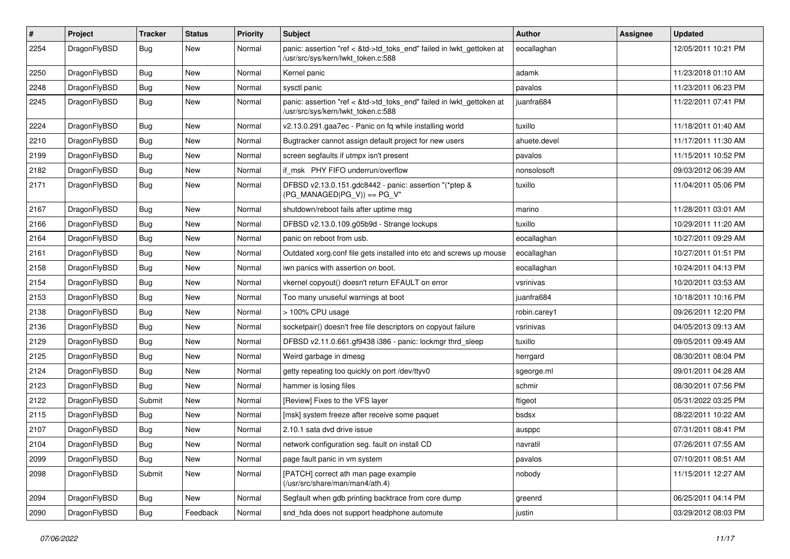| $\#$ | Project      | <b>Tracker</b> | <b>Status</b> | <b>Priority</b> | Subject                                                                                                    | <b>Author</b> | Assignee | <b>Updated</b>      |
|------|--------------|----------------|---------------|-----------------|------------------------------------------------------------------------------------------------------------|---------------|----------|---------------------|
| 2254 | DragonFlyBSD | Bug            | New           | Normal          | panic: assertion "ref < &td->td_toks_end" failed in lwkt_gettoken at<br>/usr/src/sys/kern/lwkt_token.c:588 | eocallaghan   |          | 12/05/2011 10:21 PM |
| 2250 | DragonFlyBSD | <b>Bug</b>     | New           | Normal          | Kernel panic                                                                                               | adamk         |          | 11/23/2018 01:10 AM |
| 2248 | DragonFlyBSD | Bug            | <b>New</b>    | Normal          | sysctl panic                                                                                               | pavalos       |          | 11/23/2011 06:23 PM |
| 2245 | DragonFlyBSD | Bug            | New           | Normal          | panic: assertion "ref < &td->td_toks_end" failed in lwkt_gettoken at<br>/usr/src/sys/kern/lwkt token.c:588 | juanfra684    |          | 11/22/2011 07:41 PM |
| 2224 | DragonFlyBSD | Bug            | <b>New</b>    | Normal          | v2.13.0.291.gaa7ec - Panic on fq while installing world                                                    | tuxillo       |          | 11/18/2011 01:40 AM |
| 2210 | DragonFlyBSD | <b>Bug</b>     | New           | Normal          | Bugtracker cannot assign default project for new users                                                     | ahuete.devel  |          | 11/17/2011 11:30 AM |
| 2199 | DragonFlyBSD | <b>Bug</b>     | New           | Normal          | screen segfaults if utmpx isn't present                                                                    | pavalos       |          | 11/15/2011 10:52 PM |
| 2182 | DragonFlyBSD | Bug            | New           | Normal          | if msk PHY FIFO underrun/overflow                                                                          | nonsolosoft   |          | 09/03/2012 06:39 AM |
| 2171 | DragonFlyBSD | <b>Bug</b>     | New           | Normal          | DFBSD v2.13.0.151.gdc8442 - panic: assertion "(*ptep &<br>$(PG_MANAGED PG_V)$ == $PG_V$ "                  | tuxillo       |          | 11/04/2011 05:06 PM |
| 2167 | DragonFlyBSD | Bug            | <b>New</b>    | Normal          | shutdown/reboot fails after uptime msg                                                                     | marino        |          | 11/28/2011 03:01 AM |
| 2166 | DragonFlyBSD | <b>Bug</b>     | <b>New</b>    | Normal          | DFBSD v2.13.0.109.g05b9d - Strange lockups                                                                 | tuxillo       |          | 10/29/2011 11:20 AM |
| 2164 | DragonFlyBSD | <b>Bug</b>     | New           | Normal          | panic on reboot from usb.                                                                                  | eocallaghan   |          | 10/27/2011 09:29 AM |
| 2161 | DragonFlyBSD | Bug            | <b>New</b>    | Normal          | Outdated xorg.conf file gets installed into etc and screws up mouse                                        | eocallaghan   |          | 10/27/2011 01:51 PM |
| 2158 | DragonFlyBSD | Bug            | New           | Normal          | iwn panics with assertion on boot.                                                                         | eocallaghan   |          | 10/24/2011 04:13 PM |
| 2154 | DragonFlyBSD | Bug            | New           | Normal          | vkernel copyout() doesn't return EFAULT on error                                                           | vsrinivas     |          | 10/20/2011 03:53 AM |
| 2153 | DragonFlyBSD | <b>Bug</b>     | New           | Normal          | Too many unuseful warnings at boot                                                                         | juanfra684    |          | 10/18/2011 10:16 PM |
| 2138 | DragonFlyBSD | <b>Bug</b>     | <b>New</b>    | Normal          | > 100% CPU usage                                                                                           | robin.carey1  |          | 09/26/2011 12:20 PM |
| 2136 | DragonFlyBSD | Bug            | <b>New</b>    | Normal          | socketpair() doesn't free file descriptors on copyout failure                                              | vsrinivas     |          | 04/05/2013 09:13 AM |
| 2129 | DragonFlyBSD | <b>Bug</b>     | New           | Normal          | DFBSD v2.11.0.661.gf9438 i386 - panic: lockmgr thrd_sleep                                                  | tuxillo       |          | 09/05/2011 09:49 AM |
| 2125 | DragonFlyBSD | Bug            | New           | Normal          | Weird garbage in dmesg                                                                                     | herrgard      |          | 08/30/2011 08:04 PM |
| 2124 | DragonFlyBSD | Bug            | New           | Normal          | getty repeating too quickly on port /dev/ttyv0                                                             | sgeorge.ml    |          | 09/01/2011 04:28 AM |
| 2123 | DragonFlyBSD | <b>Bug</b>     | New           | Normal          | hammer is losing files                                                                                     | schmir        |          | 08/30/2011 07:56 PM |
| 2122 | DragonFlyBSD | Submit         | New           | Normal          | [Review] Fixes to the VFS layer                                                                            | ftigeot       |          | 05/31/2022 03:25 PM |
| 2115 | DragonFlyBSD | <b>Bug</b>     | <b>New</b>    | Normal          | [msk] system freeze after receive some paquet                                                              | bsdsx         |          | 08/22/2011 10:22 AM |
| 2107 | DragonFlyBSD | Bug            | New           | Normal          | 2.10.1 sata dvd drive issue                                                                                | ausppc        |          | 07/31/2011 08:41 PM |
| 2104 | DragonFlyBSD | Bug            | <b>New</b>    | Normal          | network configuration seg. fault on install CD                                                             | navratil      |          | 07/26/2011 07:55 AM |
| 2099 | DragonFlyBSD | Bug            | <b>New</b>    | Normal          | page fault panic in vm system                                                                              | pavalos       |          | 07/10/2011 08:51 AM |
| 2098 | DragonFlyBSD | Submit         | New           | Normal          | [PATCH] correct ath man page example<br>(/usr/src/share/man/man4/ath.4)                                    | nobody        |          | 11/15/2011 12:27 AM |
| 2094 | DragonFlyBSD | <b>Bug</b>     | New           | Normal          | Segfault when gdb printing backtrace from core dump                                                        | greenrd       |          | 06/25/2011 04:14 PM |
| 2090 | DragonFlyBSD | <b>Bug</b>     | Feedback      | Normal          | snd_hda does not support headphone automute                                                                | justin        |          | 03/29/2012 08:03 PM |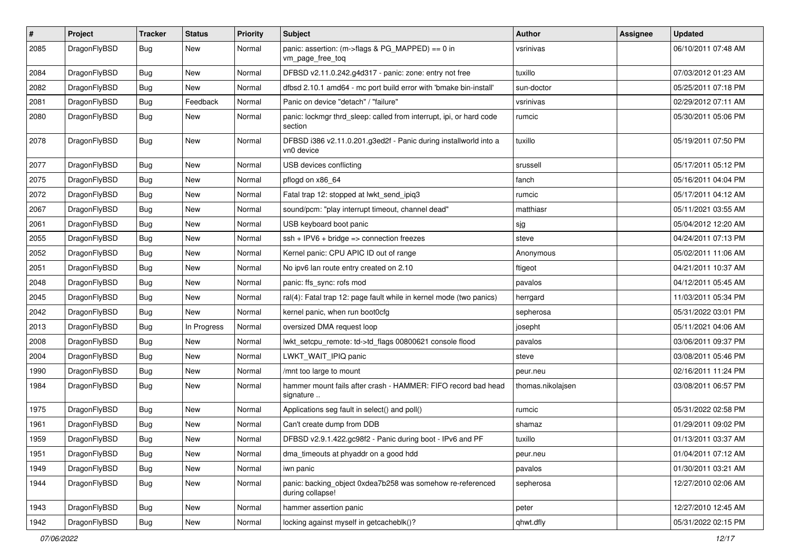| #    | Project      | <b>Tracker</b> | <b>Status</b> | <b>Priority</b> | Subject                                                                        | <b>Author</b>     | <b>Assignee</b> | <b>Updated</b>      |
|------|--------------|----------------|---------------|-----------------|--------------------------------------------------------------------------------|-------------------|-----------------|---------------------|
| 2085 | DragonFlyBSD | Bug            | New           | Normal          | panic: assertion: (m->flags & PG_MAPPED) == 0 in<br>vm_page_free_toq           | vsrinivas         |                 | 06/10/2011 07:48 AM |
| 2084 | DragonFlyBSD | <b>Bug</b>     | New           | Normal          | DFBSD v2.11.0.242.g4d317 - panic: zone: entry not free                         | tuxillo           |                 | 07/03/2012 01:23 AM |
| 2082 | DragonFlyBSD | <b>Bug</b>     | <b>New</b>    | Normal          | dfbsd 2.10.1 amd64 - mc port build error with 'bmake bin-install'              | sun-doctor        |                 | 05/25/2011 07:18 PM |
| 2081 | DragonFlyBSD | <b>Bug</b>     | Feedback      | Normal          | Panic on device "detach" / "failure"                                           | vsrinivas         |                 | 02/29/2012 07:11 AM |
| 2080 | DragonFlyBSD | <b>Bug</b>     | <b>New</b>    | Normal          | panic: lockmgr thrd_sleep: called from interrupt, ipi, or hard code<br>section | rumcic            |                 | 05/30/2011 05:06 PM |
| 2078 | DragonFlyBSD | Bug            | <b>New</b>    | Normal          | DFBSD i386 v2.11.0.201.g3ed2f - Panic during installworld into a<br>vn0 device | tuxillo           |                 | 05/19/2011 07:50 PM |
| 2077 | DragonFlyBSD | Bug            | <b>New</b>    | Normal          | USB devices conflicting                                                        | srussell          |                 | 05/17/2011 05:12 PM |
| 2075 | DragonFlyBSD | Bug            | New           | Normal          | pflogd on x86 64                                                               | fanch             |                 | 05/16/2011 04:04 PM |
| 2072 | DragonFlyBSD | <b>Bug</b>     | <b>New</b>    | Normal          | Fatal trap 12: stopped at lwkt_send_ipiq3                                      | rumcic            |                 | 05/17/2011 04:12 AM |
| 2067 | DragonFlyBSD | <b>Bug</b>     | <b>New</b>    | Normal          | sound/pcm: "play interrupt timeout, channel dead"                              | matthiasr         |                 | 05/11/2021 03:55 AM |
| 2061 | DragonFlyBSD | <b>Bug</b>     | <b>New</b>    | Normal          | USB keyboard boot panic                                                        | sjg               |                 | 05/04/2012 12:20 AM |
| 2055 | DragonFlyBSD | <b>Bug</b>     | New           | Normal          | $ssh + IPV6 + bridge \Rightarrow$ connection freezes                           | steve             |                 | 04/24/2011 07:13 PM |
| 2052 | DragonFlyBSD | <b>Bug</b>     | <b>New</b>    | Normal          | Kernel panic: CPU APIC ID out of range                                         | Anonymous         |                 | 05/02/2011 11:06 AM |
| 2051 | DragonFlyBSD | <b>Bug</b>     | <b>New</b>    | Normal          | No ipv6 lan route entry created on 2.10                                        | ftigeot           |                 | 04/21/2011 10:37 AM |
| 2048 | DragonFlyBSD | <b>Bug</b>     | New           | Normal          | panic: ffs_sync: rofs mod                                                      | pavalos           |                 | 04/12/2011 05:45 AM |
| 2045 | DragonFlyBSD | <b>Bug</b>     | New           | Normal          | ral(4): Fatal trap 12: page fault while in kernel mode (two panics)            | herrgard          |                 | 11/03/2011 05:34 PM |
| 2042 | DragonFlyBSD | <b>Bug</b>     | <b>New</b>    | Normal          | kernel panic, when run boot0cfg                                                | sepherosa         |                 | 05/31/2022 03:01 PM |
| 2013 | DragonFlyBSD | Bug            | In Progress   | Normal          | oversized DMA request loop                                                     | josepht           |                 | 05/11/2021 04:06 AM |
| 2008 | DragonFlyBSD | <b>Bug</b>     | New           | Normal          | lwkt_setcpu_remote: td->td_flags 00800621 console flood                        | pavalos           |                 | 03/06/2011 09:37 PM |
| 2004 | DragonFlyBSD | <b>Bug</b>     | <b>New</b>    | Normal          | LWKT_WAIT_IPIQ panic                                                           | steve             |                 | 03/08/2011 05:46 PM |
| 1990 | DragonFlyBSD | <b>Bug</b>     | New           | Normal          | /mnt too large to mount                                                        | peur.neu          |                 | 02/16/2011 11:24 PM |
| 1984 | DragonFlyBSD | Bug            | <b>New</b>    | Normal          | hammer mount fails after crash - HAMMER: FIFO record bad head<br>signature     | thomas.nikolajsen |                 | 03/08/2011 06:57 PM |
| 1975 | DragonFlyBSD | <b>Bug</b>     | New           | Normal          | Applications seg fault in select() and poll()                                  | rumcic            |                 | 05/31/2022 02:58 PM |
| 1961 | DragonFlyBSD | <b>Bug</b>     | New           | Normal          | Can't create dump from DDB                                                     | shamaz            |                 | 01/29/2011 09:02 PM |
| 1959 | DragonFlyBSD | <b>Bug</b>     | New           | Normal          | DFBSD v2.9.1.422.gc98f2 - Panic during boot - IPv6 and PF                      | tuxillo           |                 | 01/13/2011 03:37 AM |
| 1951 | DragonFlyBSD | <b>Bug</b>     | New           | Normal          | dma_timeouts at phyaddr on a good hdd                                          | peur.neu          |                 | 01/04/2011 07:12 AM |
| 1949 | DragonFlyBSD | <b>Bug</b>     | <b>New</b>    | Normal          | iwn panic                                                                      | pavalos           |                 | 01/30/2011 03:21 AM |
| 1944 | DragonFlyBSD | <b>Bug</b>     | New           | Normal          | panic: backing_object 0xdea7b258 was somehow re-referenced<br>during collapse! | sepherosa         |                 | 12/27/2010 02:06 AM |
| 1943 | DragonFlyBSD | <b>Bug</b>     | <b>New</b>    | Normal          | hammer assertion panic                                                         | peter             |                 | 12/27/2010 12:45 AM |
| 1942 | DragonFlyBSD | <b>Bug</b>     | New           | Normal          | locking against myself in getcacheblk()?                                       | qhwt.dfly         |                 | 05/31/2022 02:15 PM |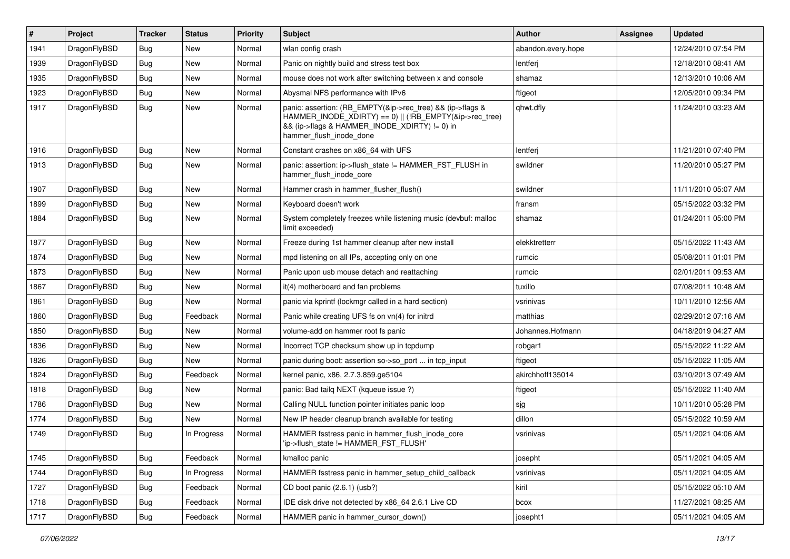| #    | Project      | <b>Tracker</b> | <b>Status</b> | <b>Priority</b> | Subject                                                                                                                                                                                           | <b>Author</b>      | Assignee | <b>Updated</b>      |
|------|--------------|----------------|---------------|-----------------|---------------------------------------------------------------------------------------------------------------------------------------------------------------------------------------------------|--------------------|----------|---------------------|
| 1941 | DragonFlyBSD | <b>Bug</b>     | <b>New</b>    | Normal          | wlan config crash                                                                                                                                                                                 | abandon.every.hope |          | 12/24/2010 07:54 PM |
| 1939 | DragonFlyBSD | <b>Bug</b>     | New           | Normal          | Panic on nightly build and stress test box                                                                                                                                                        | lentferj           |          | 12/18/2010 08:41 AM |
| 1935 | DragonFlyBSD | <b>Bug</b>     | New           | Normal          | mouse does not work after switching between x and console                                                                                                                                         | shamaz             |          | 12/13/2010 10:06 AM |
| 1923 | DragonFlyBSD | Bug            | New           | Normal          | Abysmal NFS performance with IPv6                                                                                                                                                                 | ftigeot            |          | 12/05/2010 09:34 PM |
| 1917 | DragonFlyBSD | Bug            | New           | Normal          | panic: assertion: (RB_EMPTY(&ip->rec_tree) && (ip->flags &<br>HAMMER_INODE_XDIRTY) == 0)    (!RB_EMPTY(&ip->rec_tree)<br>&& (ip->flags & HAMMER_INODE_XDIRTY) != 0) in<br>hammer_flush_inode_done | qhwt.dfly          |          | 11/24/2010 03:23 AM |
| 1916 | DragonFlyBSD | Bug            | New           | Normal          | Constant crashes on x86 64 with UFS                                                                                                                                                               | lentferj           |          | 11/21/2010 07:40 PM |
| 1913 | DragonFlyBSD | Bug            | New           | Normal          | panic: assertion: ip->flush_state != HAMMER_FST_FLUSH in<br>hammer_flush_inode_core                                                                                                               | swildner           |          | 11/20/2010 05:27 PM |
| 1907 | DragonFlyBSD | <b>Bug</b>     | New           | Normal          | Hammer crash in hammer_flusher_flush()                                                                                                                                                            | swildner           |          | 11/11/2010 05:07 AM |
| 1899 | DragonFlyBSD | <b>Bug</b>     | New           | Normal          | Keyboard doesn't work                                                                                                                                                                             | fransm             |          | 05/15/2022 03:32 PM |
| 1884 | DragonFlyBSD | <b>Bug</b>     | New           | Normal          | System completely freezes while listening music (devbuf: malloc<br>limit exceeded)                                                                                                                | shamaz             |          | 01/24/2011 05:00 PM |
| 1877 | DragonFlyBSD | <b>Bug</b>     | New           | Normal          | Freeze during 1st hammer cleanup after new install                                                                                                                                                | elekktretterr      |          | 05/15/2022 11:43 AM |
| 1874 | DragonFlyBSD | <b>Bug</b>     | New           | Normal          | mpd listening on all IPs, accepting only on one                                                                                                                                                   | rumcic             |          | 05/08/2011 01:01 PM |
| 1873 | DragonFlyBSD | <b>Bug</b>     | New           | Normal          | Panic upon usb mouse detach and reattaching                                                                                                                                                       | rumcic             |          | 02/01/2011 09:53 AM |
| 1867 | DragonFlyBSD | Bug            | New           | Normal          | it(4) motherboard and fan problems                                                                                                                                                                | tuxillo            |          | 07/08/2011 10:48 AM |
| 1861 | DragonFlyBSD | Bug            | New           | Normal          | panic via kprintf (lockmgr called in a hard section)                                                                                                                                              | vsrinivas          |          | 10/11/2010 12:56 AM |
| 1860 | DragonFlyBSD | <b>Bug</b>     | Feedback      | Normal          | Panic while creating UFS fs on vn(4) for initrd                                                                                                                                                   | matthias           |          | 02/29/2012 07:16 AM |
| 1850 | DragonFlyBSD | <b>Bug</b>     | New           | Normal          | volume-add on hammer root fs panic                                                                                                                                                                | Johannes.Hofmann   |          | 04/18/2019 04:27 AM |
| 1836 | DragonFlyBSD | <b>Bug</b>     | <b>New</b>    | Normal          | Incorrect TCP checksum show up in tcpdump                                                                                                                                                         | robgar1            |          | 05/15/2022 11:22 AM |
| 1826 | DragonFlyBSD | <b>Bug</b>     | New           | Normal          | panic during boot: assertion so->so port  in tcp input                                                                                                                                            | ftigeot            |          | 05/15/2022 11:05 AM |
| 1824 | DragonFlyBSD | <b>Bug</b>     | Feedback      | Normal          | kernel panic, x86, 2.7.3.859.ge5104                                                                                                                                                               | akirchhoff135014   |          | 03/10/2013 07:49 AM |
| 1818 | DragonFlyBSD | <b>Bug</b>     | New           | Normal          | panic: Bad tailq NEXT (kqueue issue ?)                                                                                                                                                            | ftigeot            |          | 05/15/2022 11:40 AM |
| 1786 | DragonFlyBSD | <b>Bug</b>     | New           | Normal          | Calling NULL function pointer initiates panic loop                                                                                                                                                | sjg                |          | 10/11/2010 05:28 PM |
| 1774 | DragonFlyBSD | Bug            | New           | Normal          | New IP header cleanup branch available for testing                                                                                                                                                | dillon             |          | 05/15/2022 10:59 AM |
| 1749 | DragonFlyBSD | <b>Bug</b>     | In Progress   | Normal          | HAMMER fsstress panic in hammer_flush_inode_core<br>'ip->flush_state != HAMMER_FST_FLUSH'                                                                                                         | vsrinivas          |          | 05/11/2021 04:06 AM |
| 1745 | DragonFlyBSD | Bug            | Feedback      | Normal          | kmalloc panic                                                                                                                                                                                     | josepht            |          | 05/11/2021 04:05 AM |
| 1744 | DragonFlyBSD | <b>Bug</b>     | In Progress   | Normal          | HAMMER fsstress panic in hammer_setup_child_callback                                                                                                                                              | vsrinivas          |          | 05/11/2021 04:05 AM |
| 1727 | DragonFlyBSD | <b>Bug</b>     | Feedback      | Normal          | CD boot panic (2.6.1) (usb?)                                                                                                                                                                      | kiril              |          | 05/15/2022 05:10 AM |
| 1718 | DragonFlyBSD | <b>Bug</b>     | Feedback      | Normal          | IDE disk drive not detected by x86_64 2.6.1 Live CD                                                                                                                                               | bcox               |          | 11/27/2021 08:25 AM |
| 1717 | DragonFlyBSD | <b>Bug</b>     | Feedback      | Normal          | HAMMER panic in hammer_cursor_down()                                                                                                                                                              | josepht1           |          | 05/11/2021 04:05 AM |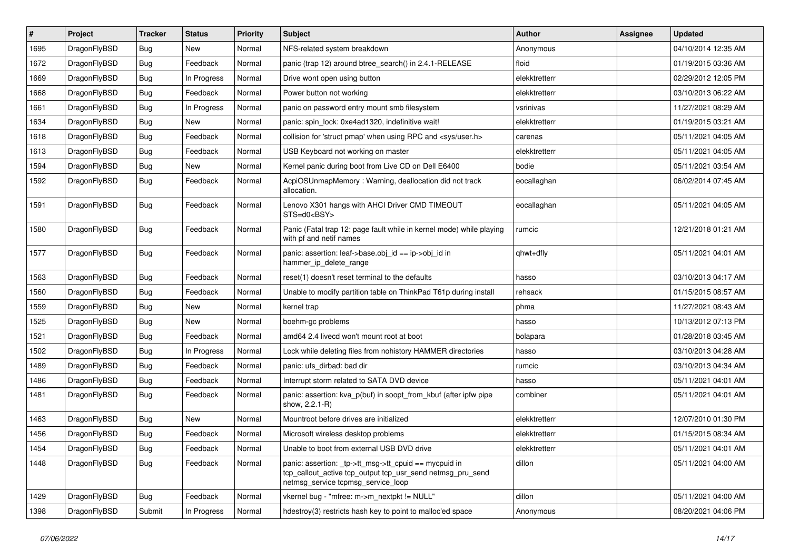| ∦    | Project      | <b>Tracker</b> | <b>Status</b> | <b>Priority</b> | <b>Subject</b>                                                                                                                                            | <b>Author</b> | Assignee | <b>Updated</b>      |
|------|--------------|----------------|---------------|-----------------|-----------------------------------------------------------------------------------------------------------------------------------------------------------|---------------|----------|---------------------|
| 1695 | DragonFlyBSD | <b>Bug</b>     | <b>New</b>    | Normal          | NFS-related system breakdown                                                                                                                              | Anonymous     |          | 04/10/2014 12:35 AM |
| 1672 | DragonFlyBSD | <b>Bug</b>     | Feedback      | Normal          | panic (trap 12) around btree_search() in 2.4.1-RELEASE                                                                                                    | floid         |          | 01/19/2015 03:36 AM |
| 1669 | DragonFlyBSD | <b>Bug</b>     | In Progress   | Normal          | Drive wont open using button                                                                                                                              | elekktretterr |          | 02/29/2012 12:05 PM |
| 1668 | DragonFlyBSD | <b>Bug</b>     | Feedback      | Normal          | Power button not working                                                                                                                                  | elekktretterr |          | 03/10/2013 06:22 AM |
| 1661 | DragonFlyBSD | <b>Bug</b>     | In Progress   | Normal          | panic on password entry mount smb filesystem                                                                                                              | vsrinivas     |          | 11/27/2021 08:29 AM |
| 1634 | DragonFlyBSD | <b>Bug</b>     | New           | Normal          | panic: spin lock: 0xe4ad1320, indefinitive wait!                                                                                                          | elekktretterr |          | 01/19/2015 03:21 AM |
| 1618 | DragonFlyBSD | <b>Bug</b>     | Feedback      | Normal          | collision for 'struct pmap' when using RPC and <sys user.h=""></sys>                                                                                      | carenas       |          | 05/11/2021 04:05 AM |
| 1613 | DragonFlyBSD | <b>Bug</b>     | Feedback      | Normal          | USB Keyboard not working on master                                                                                                                        | elekktretterr |          | 05/11/2021 04:05 AM |
| 1594 | DragonFlyBSD | Bug            | New           | Normal          | Kernel panic during boot from Live CD on Dell E6400                                                                                                       | bodie         |          | 05/11/2021 03:54 AM |
| 1592 | DragonFlyBSD | <b>Bug</b>     | Feedback      | Normal          | AcpiOSUnmapMemory: Warning, deallocation did not track<br>allocation.                                                                                     | eocallaghan   |          | 06/02/2014 07:45 AM |
| 1591 | DragonFlyBSD | Bug            | Feedback      | Normal          | Lenovo X301 hangs with AHCI Driver CMD TIMEOUT<br>$STS=d0<BSY>$                                                                                           | eocallaghan   |          | 05/11/2021 04:05 AM |
| 1580 | DragonFlyBSD | Bug            | Feedback      | Normal          | Panic (Fatal trap 12: page fault while in kernel mode) while playing<br>with pf and netif names                                                           | rumcic        |          | 12/21/2018 01:21 AM |
| 1577 | DragonFlyBSD | Bug            | Feedback      | Normal          | panic: assertion: leaf->base.obj_id == ip->obj_id in<br>hammer_ip_delete_range                                                                            | qhwt+dfly     |          | 05/11/2021 04:01 AM |
| 1563 | DragonFlyBSD | <b>Bug</b>     | Feedback      | Normal          | reset(1) doesn't reset terminal to the defaults                                                                                                           | hasso         |          | 03/10/2013 04:17 AM |
| 1560 | DragonFlyBSD | <b>Bug</b>     | Feedback      | Normal          | Unable to modify partition table on ThinkPad T61p during install                                                                                          | rehsack       |          | 01/15/2015 08:57 AM |
| 1559 | DragonFlyBSD | Bug            | <b>New</b>    | Normal          | kernel trap                                                                                                                                               | phma          |          | 11/27/2021 08:43 AM |
| 1525 | DragonFlyBSD | <b>Bug</b>     | <b>New</b>    | Normal          | boehm-gc problems                                                                                                                                         | hasso         |          | 10/13/2012 07:13 PM |
| 1521 | DragonFlyBSD | <b>Bug</b>     | Feedback      | Normal          | amd64 2.4 livecd won't mount root at boot                                                                                                                 | bolapara      |          | 01/28/2018 03:45 AM |
| 1502 | DragonFlyBSD | Bug            | In Progress   | Normal          | Lock while deleting files from nohistory HAMMER directories                                                                                               | hasso         |          | 03/10/2013 04:28 AM |
| 1489 | DragonFlyBSD | <b>Bug</b>     | Feedback      | Normal          | panic: ufs dirbad: bad dir                                                                                                                                | rumcic        |          | 03/10/2013 04:34 AM |
| 1486 | DragonFlyBSD | Bug            | Feedback      | Normal          | Interrupt storm related to SATA DVD device                                                                                                                | hasso         |          | 05/11/2021 04:01 AM |
| 1481 | DragonFlyBSD | <b>Bug</b>     | Feedback      | Normal          | panic: assertion: kva_p(buf) in soopt_from_kbuf (after ipfw pipe<br>show, 2.2.1-R)                                                                        | combiner      |          | 05/11/2021 04:01 AM |
| 1463 | DragonFlyBSD | Bug            | <b>New</b>    | Normal          | Mountroot before drives are initialized                                                                                                                   | elekktretterr |          | 12/07/2010 01:30 PM |
| 1456 | DragonFlyBSD | <b>Bug</b>     | Feedback      | Normal          | Microsoft wireless desktop problems                                                                                                                       | elekktretterr |          | 01/15/2015 08:34 AM |
| 1454 | DragonFlyBSD | <b>Bug</b>     | Feedback      | Normal          | Unable to boot from external USB DVD drive                                                                                                                | elekktretterr |          | 05/11/2021 04:01 AM |
| 1448 | DragonFlyBSD | Bug            | Feedback      | Normal          | panic: assertion: _tp->tt_msg->tt_cpuid == mycpuid in<br>tcp_callout_active tcp_output tcp_usr_send netmsg_pru_send<br>netmsg_service tcpmsg_service_loop | dillon        |          | 05/11/2021 04:00 AM |
| 1429 | DragonFlyBSD | <b>Bug</b>     | Feedback      | Normal          | vkernel bug - "mfree: m->m_nextpkt != NULL"                                                                                                               | dillon        |          | 05/11/2021 04:00 AM |
| 1398 | DragonFlyBSD | Submit         | In Progress   | Normal          | hdestroy(3) restricts hash key to point to malloc'ed space                                                                                                | Anonymous     |          | 08/20/2021 04:06 PM |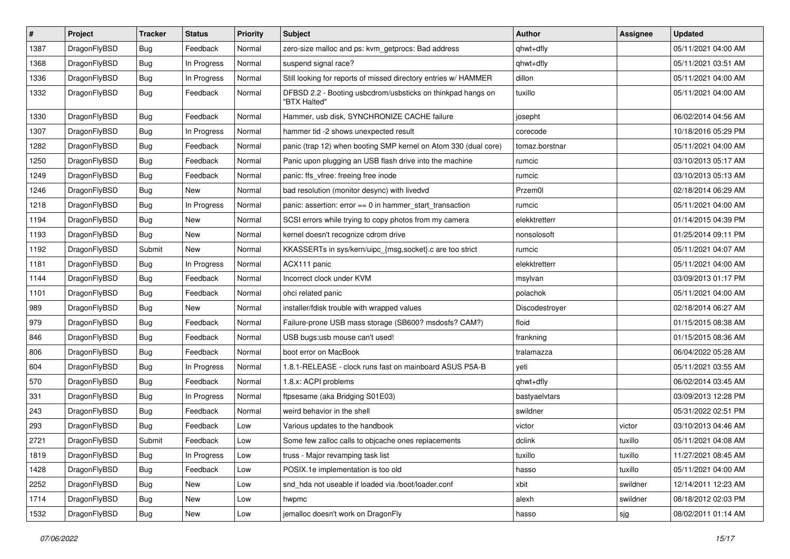| $\vert$ # | Project      | <b>Tracker</b> | <b>Status</b> | <b>Priority</b> | <b>Subject</b>                                                              | <b>Author</b>  | <b>Assignee</b> | <b>Updated</b>      |
|-----------|--------------|----------------|---------------|-----------------|-----------------------------------------------------------------------------|----------------|-----------------|---------------------|
| 1387      | DragonFlyBSD | <b>Bug</b>     | Feedback      | Normal          | zero-size malloc and ps: kvm_getprocs: Bad address                          | qhwt+dfly      |                 | 05/11/2021 04:00 AM |
| 1368      | DragonFlyBSD | <b>Bug</b>     | In Progress   | Normal          | suspend signal race?                                                        | qhwt+dfly      |                 | 05/11/2021 03:51 AM |
| 1336      | DragonFlyBSD | <b>Bug</b>     | In Progress   | Normal          | Still looking for reports of missed directory entries w/ HAMMER             | dillon         |                 | 05/11/2021 04:00 AM |
| 1332      | DragonFlyBSD | <b>Bug</b>     | Feedback      | Normal          | DFBSD 2.2 - Booting usbcdrom/usbsticks on thinkpad hangs on<br>"BTX Halted" | tuxillo        |                 | 05/11/2021 04:00 AM |
| 1330      | DragonFlyBSD | Bug            | Feedback      | Normal          | Hammer, usb disk, SYNCHRONIZE CACHE failure                                 | josepht        |                 | 06/02/2014 04:56 AM |
| 1307      | DragonFlyBSD | Bug            | In Progress   | Normal          | hammer tid -2 shows unexpected result                                       | corecode       |                 | 10/18/2016 05:29 PM |
| 1282      | DragonFlyBSD | <b>Bug</b>     | Feedback      | Normal          | panic (trap 12) when booting SMP kernel on Atom 330 (dual core)             | tomaz.borstnar |                 | 05/11/2021 04:00 AM |
| 1250      | DragonFlyBSD | Bug            | Feedback      | Normal          | Panic upon plugging an USB flash drive into the machine                     | rumcic         |                 | 03/10/2013 05:17 AM |
| 1249      | DragonFlyBSD | Bug            | Feedback      | Normal          | panic: ffs_vfree: freeing free inode                                        | rumcic         |                 | 03/10/2013 05:13 AM |
| 1246      | DragonFlyBSD | <b>Bug</b>     | New           | Normal          | bad resolution (monitor desync) with livedvd                                | Przem0l        |                 | 02/18/2014 06:29 AM |
| 1218      | DragonFlyBSD | Bug            | In Progress   | Normal          | panic: assertion: error == 0 in hammer_start_transaction                    | rumcic         |                 | 05/11/2021 04:00 AM |
| 1194      | DragonFlyBSD | <b>Bug</b>     | New           | Normal          | SCSI errors while trying to copy photos from my camera                      | elekktretterr  |                 | 01/14/2015 04:39 PM |
| 1193      | DragonFlyBSD | Bug            | <b>New</b>    | Normal          | kernel doesn't recognize cdrom drive                                        | nonsolosoft    |                 | 01/25/2014 09:11 PM |
| 1192      | DragonFlyBSD | Submit         | <b>New</b>    | Normal          | KKASSERTs in sys/kern/uipc_{msg,socket}.c are too strict                    | rumcic         |                 | 05/11/2021 04:07 AM |
| 1181      | DragonFlyBSD | <b>Bug</b>     | In Progress   | Normal          | ACX111 panic                                                                | elekktretterr  |                 | 05/11/2021 04:00 AM |
| 1144      | DragonFlyBSD | Bug            | Feedback      | Normal          | Incorrect clock under KVM                                                   | msylvan        |                 | 03/09/2013 01:17 PM |
| 1101      | DragonFlyBSD | <b>Bug</b>     | Feedback      | Normal          | ohci related panic                                                          | polachok       |                 | 05/11/2021 04:00 AM |
| 989       | DragonFlyBSD | <b>Bug</b>     | New           | Normal          | installer/fdisk trouble with wrapped values                                 | Discodestroyer |                 | 02/18/2014 06:27 AM |
| 979       | DragonFlyBSD | <b>Bug</b>     | Feedback      | Normal          | Failure-prone USB mass storage (SB600? msdosfs? CAM?)                       | floid          |                 | 01/15/2015 08:38 AM |
| 846       | DragonFlyBSD | <b>Bug</b>     | Feedback      | Normal          | USB bugs:usb mouse can't used!                                              | frankning      |                 | 01/15/2015 08:36 AM |
| 806       | DragonFlyBSD | <b>Bug</b>     | Feedback      | Normal          | boot error on MacBook                                                       | tralamazza     |                 | 06/04/2022 05:28 AM |
| 604       | DragonFlyBSD | <b>Bug</b>     | In Progress   | Normal          | 1.8.1-RELEASE - clock runs fast on mainboard ASUS P5A-B                     | yeti           |                 | 05/11/2021 03:55 AM |
| 570       | DragonFlyBSD | <b>Bug</b>     | Feedback      | Normal          | 1.8.x: ACPI problems                                                        | qhwt+dfly      |                 | 06/02/2014 03:45 AM |
| 331       | DragonFlyBSD | Bug            | In Progress   | Normal          | ftpsesame (aka Bridging S01E03)                                             | bastyaelvtars  |                 | 03/09/2013 12:28 PM |
| 243       | DragonFlyBSD | Bug            | Feedback      | Normal          | weird behavior in the shell                                                 | swildner       |                 | 05/31/2022 02:51 PM |
| 293       | DragonFlyBSD | <b>Bug</b>     | Feedback      | Low             | Various updates to the handbook                                             | victor         | victor          | 03/10/2013 04:46 AM |
| 2721      | DragonFlyBSD | Submit         | Feedback      | Low             | Some few zalloc calls to objcache ones replacements                         | dclink         | tuxillo         | 05/11/2021 04:08 AM |
| 1819      | DragonFlyBSD | Bug            | In Progress   | Low             | truss - Major revamping task list                                           | tuxillo        | tuxillo         | 11/27/2021 08:45 AM |
| 1428      | DragonFlyBSD | <b>Bug</b>     | Feedback      | Low             | POSIX.1e implementation is too old                                          | hasso          | tuxillo         | 05/11/2021 04:00 AM |
| 2252      | DragonFlyBSD | <b>Bug</b>     | New           | Low             | snd_hda not useable if loaded via /boot/loader.conf                         | xbit           | swildner        | 12/14/2011 12:23 AM |
| 1714      | DragonFlyBSD | <b>Bug</b>     | New           | Low             | hwpmc                                                                       | alexh          | swildner        | 08/18/2012 02:03 PM |
| 1532      | DragonFlyBSD | <b>Bug</b>     | New           | Low             | jemalloc doesn't work on DragonFly                                          | hasso          | sjg             | 08/02/2011 01:14 AM |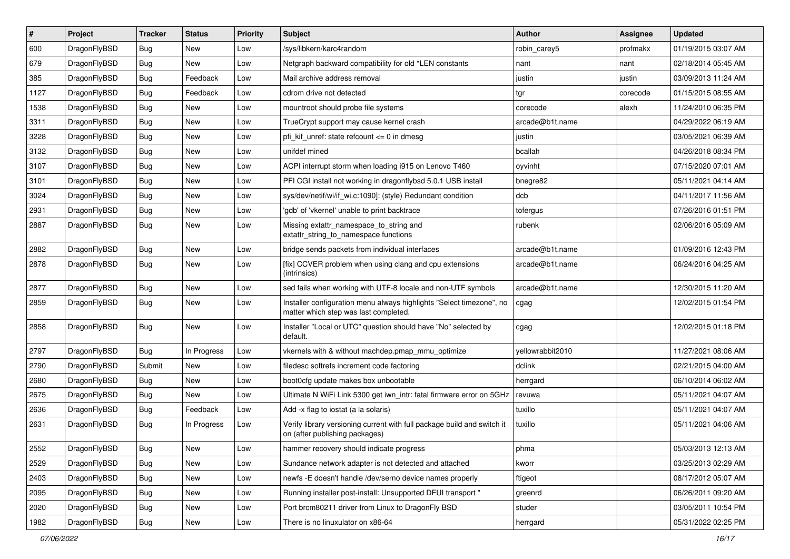| $\sharp$ | Project      | <b>Tracker</b> | <b>Status</b> | <b>Priority</b> | Subject                                                                                                       | <b>Author</b>    | <b>Assignee</b> | <b>Updated</b>      |
|----------|--------------|----------------|---------------|-----------------|---------------------------------------------------------------------------------------------------------------|------------------|-----------------|---------------------|
| 600      | DragonFlyBSD | Bug            | New           | Low             | /sys/libkern/karc4random                                                                                      | robin carey5     | profmakx        | 01/19/2015 03:07 AM |
| 679      | DragonFlyBSD | Bug            | <b>New</b>    | Low             | Netgraph backward compatibility for old *LEN constants                                                        | nant             | nant            | 02/18/2014 05:45 AM |
| 385      | DragonFlyBSD | Bug            | Feedback      | Low             | Mail archive address removal                                                                                  | justin           | justin          | 03/09/2013 11:24 AM |
| 1127     | DragonFlyBSD | <b>Bug</b>     | Feedback      | Low             | cdrom drive not detected                                                                                      | tgr              | corecode        | 01/15/2015 08:55 AM |
| 1538     | DragonFlyBSD | Bug            | New           | Low             | mountroot should probe file systems                                                                           | corecode         | alexh           | 11/24/2010 06:35 PM |
| 3311     | DragonFlyBSD | Bug            | New           | Low             | TrueCrypt support may cause kernel crash                                                                      | arcade@b1t.name  |                 | 04/29/2022 06:19 AM |
| 3228     | DragonFlyBSD | Bug            | New           | Low             | pfi kif unref: state refcount $\leq$ 0 in dmesg                                                               | justin           |                 | 03/05/2021 06:39 AM |
| 3132     | DragonFlyBSD | <b>Bug</b>     | <b>New</b>    | Low             | unifdef mined                                                                                                 | bcallah          |                 | 04/26/2018 08:34 PM |
| 3107     | DragonFlyBSD | <b>Bug</b>     | New           | Low             | ACPI interrupt storm when loading i915 on Lenovo T460                                                         | oyvinht          |                 | 07/15/2020 07:01 AM |
| 3101     | DragonFlyBSD | Bug            | <b>New</b>    | Low             | PFI CGI install not working in dragonflybsd 5.0.1 USB install                                                 | bnegre82         |                 | 05/11/2021 04:14 AM |
| 3024     | DragonFlyBSD | <b>Bug</b>     | New           | Low             | sys/dev/netif/wi/if_wi.c:1090]: (style) Redundant condition                                                   | dcb              |                 | 04/11/2017 11:56 AM |
| 2931     | DragonFlyBSD | <b>Bug</b>     | <b>New</b>    | Low             | 'gdb' of 'vkernel' unable to print backtrace                                                                  | tofergus         |                 | 07/26/2016 01:51 PM |
| 2887     | DragonFlyBSD | Bug            | <b>New</b>    | Low             | Missing extattr_namespace_to_string and<br>extattr_string_to_namespace functions                              | rubenk           |                 | 02/06/2016 05:09 AM |
| 2882     | DragonFlyBSD | Bug            | <b>New</b>    | Low             | bridge sends packets from individual interfaces                                                               | arcade@b1t.name  |                 | 01/09/2016 12:43 PM |
| 2878     | DragonFlyBSD | <b>Bug</b>     | <b>New</b>    | Low             | [fix] CCVER problem when using clang and cpu extensions<br>(intrinsics)                                       | arcade@b1t.name  |                 | 06/24/2016 04:25 AM |
| 2877     | DragonFlyBSD | <b>Bug</b>     | New           | Low             | sed fails when working with UTF-8 locale and non-UTF symbols                                                  | arcade@b1t.name  |                 | 12/30/2015 11:20 AM |
| 2859     | DragonFlyBSD | <b>Bug</b>     | New           | Low             | Installer configuration menu always highlights "Select timezone", no<br>matter which step was last completed. | cgag             |                 | 12/02/2015 01:54 PM |
| 2858     | DragonFlyBSD | <b>Bug</b>     | New           | Low             | Installer "Local or UTC" question should have "No" selected by<br>default.                                    | cgag             |                 | 12/02/2015 01:18 PM |
| 2797     | DragonFlyBSD | Bug            | In Progress   | Low             | vkernels with & without machdep.pmap_mmu_optimize                                                             | yellowrabbit2010 |                 | 11/27/2021 08:06 AM |
| 2790     | DragonFlyBSD | Submit         | New           | Low             | filedesc softrefs increment code factoring                                                                    | dclink           |                 | 02/21/2015 04:00 AM |
| 2680     | DragonFlyBSD | <b>Bug</b>     | New           | Low             | boot0cfg update makes box unbootable                                                                          | herrgard         |                 | 06/10/2014 06:02 AM |
| 2675     | DragonFlyBSD | Bug            | New           | Low             | Ultimate N WiFi Link 5300 get iwn intr: fatal firmware error on 5GHz                                          | revuwa           |                 | 05/11/2021 04:07 AM |
| 2636     | DragonFlyBSD | <b>Bug</b>     | Feedback      | Low             | Add -x flag to iostat (a la solaris)                                                                          | tuxillo          |                 | 05/11/2021 04:07 AM |
| 2631     | DragonFlyBSD | Bug            | In Progress   | Low             | Verify library versioning current with full package build and switch it<br>on (after publishing packages)     | tuxillo          |                 | 05/11/2021 04:06 AM |
| 2552     | DragonFlyBSD | <b>Bug</b>     | New           | Low             | hammer recovery should indicate progress                                                                      | phma             |                 | 05/03/2013 12:13 AM |
| 2529     | DragonFlyBSD | <b>Bug</b>     | New           | Low             | Sundance network adapter is not detected and attached                                                         | kworr            |                 | 03/25/2013 02:29 AM |
| 2403     | DragonFlyBSD | <b>Bug</b>     | New           | Low             | newfs -E doesn't handle /dev/serno device names properly                                                      | ftigeot          |                 | 08/17/2012 05:07 AM |
| 2095     | DragonFlyBSD | <b>Bug</b>     | New           | Low             | Running installer post-install: Unsupported DFUI transport "                                                  | greenrd          |                 | 06/26/2011 09:20 AM |
| 2020     | DragonFlyBSD | <b>Bug</b>     | New           | Low             | Port brcm80211 driver from Linux to DragonFly BSD                                                             | studer           |                 | 03/05/2011 10:54 PM |
| 1982     | DragonFlyBSD | <b>Bug</b>     | New           | Low             | There is no linuxulator on x86-64                                                                             | herrgard         |                 | 05/31/2022 02:25 PM |